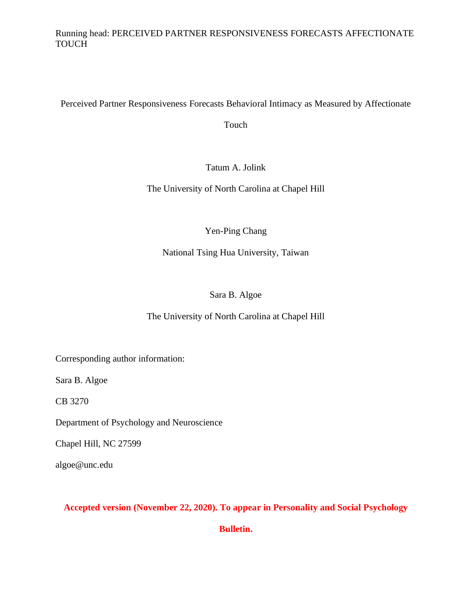## Running head: PERCEIVED PARTNER RESPONSIVENESS FORECASTS AFFECTIONATE TOUCH

Perceived Partner Responsiveness Forecasts Behavioral Intimacy as Measured by Affectionate

Touch

Tatum A. Jolink

The University of North Carolina at Chapel Hill

Yen-Ping Chang

National Tsing Hua University, Taiwan

# Sara B. Algoe

# The University of North Carolina at Chapel Hill

Corresponding author information:

Sara B. Algoe

CB 3270

Department of Psychology and Neuroscience

Chapel Hill, NC 27599

algoe@unc.edu

## **Accepted version (November 22, 2020). To appear in Personality and Social Psychology**

**Bulletin.**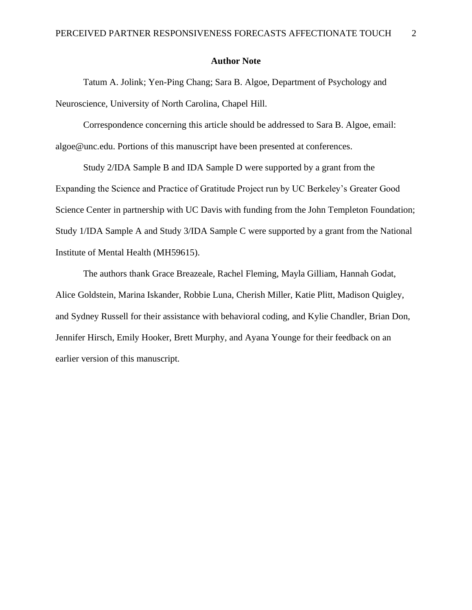#### **Author Note**

Tatum A. Jolink; Yen-Ping Chang; Sara B. Algoe, Department of Psychology and Neuroscience, University of North Carolina, Chapel Hill.

Correspondence concerning this article should be addressed to Sara B. Algoe, email: algoe@unc.edu. Portions of this manuscript have been presented at conferences.

Study 2/IDA Sample B and IDA Sample D were supported by a grant from the Expanding the Science and Practice of Gratitude Project run by UC Berkeley's Greater Good Science Center in partnership with UC Davis with funding from the John Templeton Foundation; Study 1/IDA Sample A and Study 3/IDA Sample C were supported by a grant from the National Institute of Mental Health (MH59615).

The authors thank Grace Breazeale, Rachel Fleming, Mayla Gilliam, Hannah Godat, Alice Goldstein, Marina Iskander, Robbie Luna, Cherish Miller, Katie Plitt, Madison Quigley, and Sydney Russell for their assistance with behavioral coding, and Kylie Chandler, Brian Don, Jennifer Hirsch, Emily Hooker, Brett Murphy, and Ayana Younge for their feedback on an earlier version of this manuscript.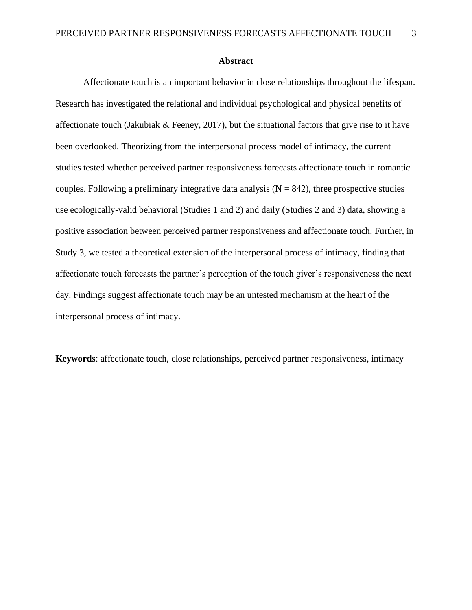#### **Abstract**

Affectionate touch is an important behavior in close relationships throughout the lifespan. Research has investigated the relational and individual psychological and physical benefits of affectionate touch (Jakubiak & Feeney, 2017), but the situational factors that give rise to it have been overlooked. Theorizing from the interpersonal process model of intimacy, the current studies tested whether perceived partner responsiveness forecasts affectionate touch in romantic couples. Following a preliminary integrative data analysis  $(N = 842)$ , three prospective studies use ecologically-valid behavioral (Studies 1 and 2) and daily (Studies 2 and 3) data, showing a positive association between perceived partner responsiveness and affectionate touch. Further, in Study 3, we tested a theoretical extension of the interpersonal process of intimacy, finding that affectionate touch forecasts the partner's perception of the touch giver's responsiveness the next day. Findings suggest affectionate touch may be an untested mechanism at the heart of the interpersonal process of intimacy.

**Keywords**: affectionate touch, close relationships, perceived partner responsiveness, intimacy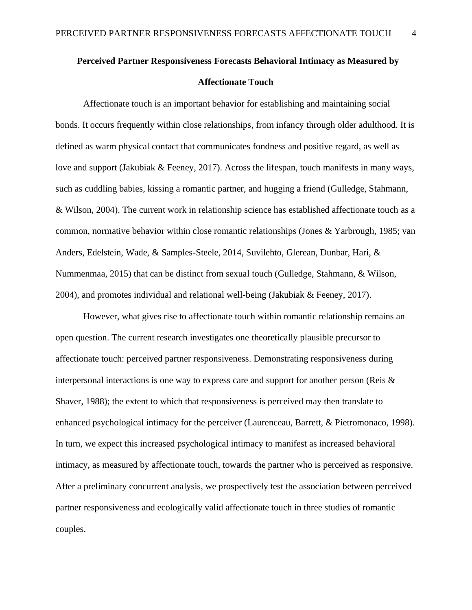# **Perceived Partner Responsiveness Forecasts Behavioral Intimacy as Measured by Affectionate Touch**

Affectionate touch is an important behavior for establishing and maintaining social bonds. It occurs frequently within close relationships, from infancy through older adulthood. It is defined as warm physical contact that communicates fondness and positive regard, as well as love and support (Jakubiak & Feeney, 2017). Across the lifespan, touch manifests in many ways, such as cuddling babies, kissing a romantic partner, and hugging a friend (Gulledge, Stahmann, & Wilson, 2004). The current work in relationship science has established affectionate touch as a common, normative behavior within close romantic relationships (Jones & Yarbrough, 1985; van Anders, Edelstein, Wade, & Samples-Steele, 2014, Suvilehto, Glerean, Dunbar, Hari, & Nummenmaa, 2015) that can be distinct from sexual touch (Gulledge, Stahmann, & Wilson, 2004), and promotes individual and relational well-being (Jakubiak & Feeney, 2017).

However, what gives rise to affectionate touch within romantic relationship remains an open question. The current research investigates one theoretically plausible precursor to affectionate touch: perceived partner responsiveness. Demonstrating responsiveness during interpersonal interactions is one way to express care and support for another person (Reis & Shaver, 1988); the extent to which that responsiveness is perceived may then translate to enhanced psychological intimacy for the perceiver (Laurenceau, Barrett, & Pietromonaco, 1998). In turn, we expect this increased psychological intimacy to manifest as increased behavioral intimacy, as measured by affectionate touch, towards the partner who is perceived as responsive. After a preliminary concurrent analysis, we prospectively test the association between perceived partner responsiveness and ecologically valid affectionate touch in three studies of romantic couples.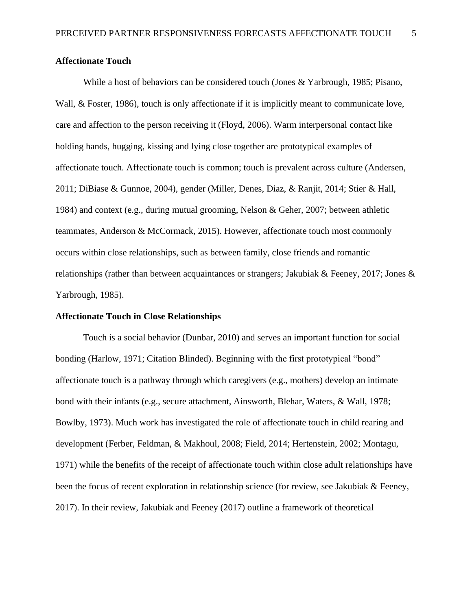## **Affectionate Touch**

While a host of behaviors can be considered touch (Jones & Yarbrough, 1985; Pisano, Wall, & Foster, 1986), touch is only affectionate if it is implicitly meant to communicate love, care and affection to the person receiving it (Floyd, 2006). Warm interpersonal contact like holding hands, hugging, kissing and lying close together are prototypical examples of affectionate touch. Affectionate touch is common; touch is prevalent across culture (Andersen, 2011; DiBiase & Gunnoe, 2004), gender (Miller, Denes, Diaz, & Ranjit, 2014; Stier & Hall, 1984) and context (e.g., during mutual grooming, Nelson & Geher, 2007; between athletic teammates, Anderson & McCormack, 2015). However, affectionate touch most commonly occurs within close relationships, such as between family, close friends and romantic relationships (rather than between acquaintances or strangers; Jakubiak & Feeney, 2017; Jones & Yarbrough, 1985).

#### **Affectionate Touch in Close Relationships**

Touch is a social behavior (Dunbar, 2010) and serves an important function for social bonding (Harlow, 1971; Citation Blinded). Beginning with the first prototypical "bond" affectionate touch is a pathway through which caregivers (e.g., mothers) develop an intimate bond with their infants (e.g., secure attachment, Ainsworth, Blehar, Waters, & Wall, 1978; Bowlby, 1973). Much work has investigated the role of affectionate touch in child rearing and development (Ferber, Feldman, & Makhoul, 2008; Field, 2014; Hertenstein, 2002; Montagu, 1971) while the benefits of the receipt of affectionate touch within close adult relationships have been the focus of recent exploration in relationship science (for review, see Jakubiak & Feeney, 2017). In their review, Jakubiak and Feeney (2017) outline a framework of theoretical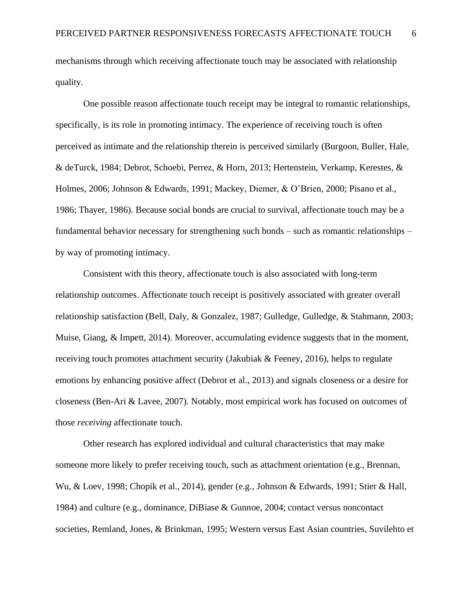mechanisms through which receiving affectionate touch may be associated with relationship quality.

One possible reason affectionate touch receipt may be integral to romantic relationships, specifically, is its role in promoting intimacy. The experience of receiving touch is often perceived as intimate and the relationship therein is perceived similarly (Burgoon, Buller, Hale, & deTurck, 1984; Debrot, Schoebi, Perrez, & Horn, 2013; Hertenstein, Verkamp, Kerestes, & Holmes, 2006; Johnson & Edwards, 1991; Mackey, Diemer, & O'Brien, 2000; Pisano et al., 1986; Thayer, 1986). Because social bonds are crucial to survival, affectionate touch may be a fundamental behavior necessary for strengthening such bonds – such as romantic relationships – by way of promoting intimacy.

Consistent with this theory, affectionate touch is also associated with long-term relationship outcomes. Affectionate touch receipt is positively associated with greater overall relationship satisfaction (Bell, Daly, & Gonzalez, 1987; Gulledge, Gulledge, & Stahmann, 2003; Muise, Giang, & Impett, 2014). Moreover, accumulating evidence suggests that in the moment, receiving touch promotes attachment security (Jakubiak & Feeney, 2016), helps to regulate emotions by enhancing positive affect (Debrot et al., 2013) and signals closeness or a desire for closeness (Ben-Ari & Lavee, 2007). Notably, most empirical work has focused on outcomes of those *receiving* affectionate touch.

Other research has explored individual and cultural characteristics that may make someone more likely to prefer receiving touch, such as attachment orientation (e.g., Brennan, Wu, & Loev, 1998; Chopik et al., 2014), gender (e.g., Johnson & Edwards, 1991; Stier & Hall, 1984) and culture (e.g., dominance, DiBiase & Gunnoe, 2004; contact versus noncontact societies, Remland, Jones, & Brinkman, 1995; Western versus East Asian countries, Suvilehto et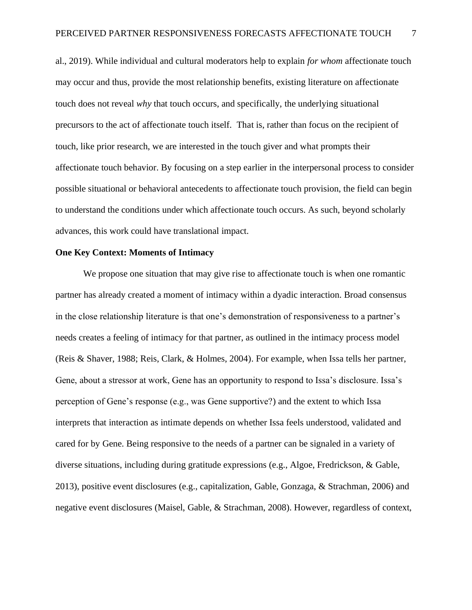al., 2019). While individual and cultural moderators help to explain *for whom* affectionate touch may occur and thus, provide the most relationship benefits, existing literature on affectionate touch does not reveal *why* that touch occurs, and specifically, the underlying situational precursors to the act of affectionate touch itself. That is, rather than focus on the recipient of touch, like prior research, we are interested in the touch giver and what prompts their affectionate touch behavior. By focusing on a step earlier in the interpersonal process to consider possible situational or behavioral antecedents to affectionate touch provision, the field can begin to understand the conditions under which affectionate touch occurs. As such, beyond scholarly advances, this work could have translational impact.

#### **One Key Context: Moments of Intimacy**

We propose one situation that may give rise to affectionate touch is when one romantic partner has already created a moment of intimacy within a dyadic interaction. Broad consensus in the close relationship literature is that one's demonstration of responsiveness to a partner's needs creates a feeling of intimacy for that partner, as outlined in the intimacy process model (Reis & Shaver, 1988; Reis, Clark, & Holmes, 2004). For example, when Issa tells her partner, Gene, about a stressor at work, Gene has an opportunity to respond to Issa's disclosure. Issa's perception of Gene's response (e.g., was Gene supportive?) and the extent to which Issa interprets that interaction as intimate depends on whether Issa feels understood, validated and cared for by Gene. Being responsive to the needs of a partner can be signaled in a variety of diverse situations, including during gratitude expressions (e.g., Algoe, Fredrickson, & Gable, 2013), positive event disclosures (e.g., capitalization, Gable, Gonzaga, & Strachman, 2006) and negative event disclosures (Maisel, Gable, & Strachman, 2008). However, regardless of context,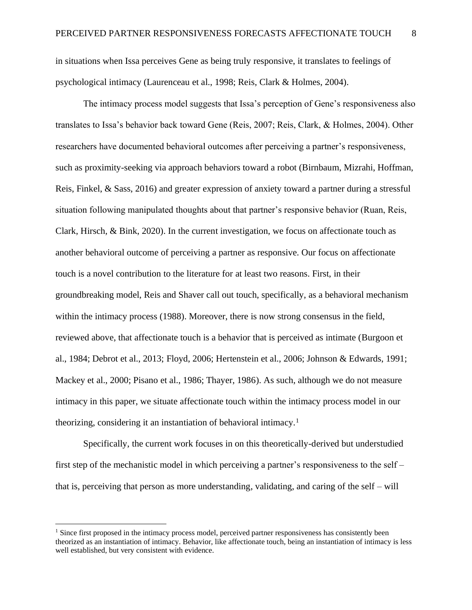in situations when Issa perceives Gene as being truly responsive, it translates to feelings of psychological intimacy (Laurenceau et al., 1998; Reis, Clark & Holmes, 2004).

The intimacy process model suggests that Issa's perception of Gene's responsiveness also translates to Issa's behavior back toward Gene (Reis, 2007; Reis, Clark, & Holmes, 2004). Other researchers have documented behavioral outcomes after perceiving a partner's responsiveness, such as proximity-seeking via approach behaviors toward a robot (Birnbaum, Mizrahi, Hoffman, Reis, Finkel, & Sass, 2016) and greater expression of anxiety toward a partner during a stressful situation following manipulated thoughts about that partner's responsive behavior (Ruan, Reis, Clark, Hirsch, & Bink, 2020). In the current investigation, we focus on affectionate touch as another behavioral outcome of perceiving a partner as responsive. Our focus on affectionate touch is a novel contribution to the literature for at least two reasons. First, in their groundbreaking model, Reis and Shaver call out touch, specifically, as a behavioral mechanism within the intimacy process (1988). Moreover, there is now strong consensus in the field, reviewed above, that affectionate touch is a behavior that is perceived as intimate (Burgoon et al., 1984; Debrot et al., 2013; Floyd, 2006; Hertenstein et al., 2006; Johnson & Edwards, 1991; Mackey et al., 2000; Pisano et al., 1986; Thayer, 1986). As such, although we do not measure intimacy in this paper, we situate affectionate touch within the intimacy process model in our theorizing, considering it an instantiation of behavioral intimacy.<sup>1</sup>

Specifically, the current work focuses in on this theoretically-derived but understudied first step of the mechanistic model in which perceiving a partner's responsiveness to the self – that is, perceiving that person as more understanding, validating, and caring of the self – will

<sup>&</sup>lt;sup>1</sup> Since first proposed in the intimacy process model, perceived partner responsiveness has consistently been theorized as an instantiation of intimacy. Behavior, like affectionate touch, being an instantiation of intimacy is less well established, but very consistent with evidence.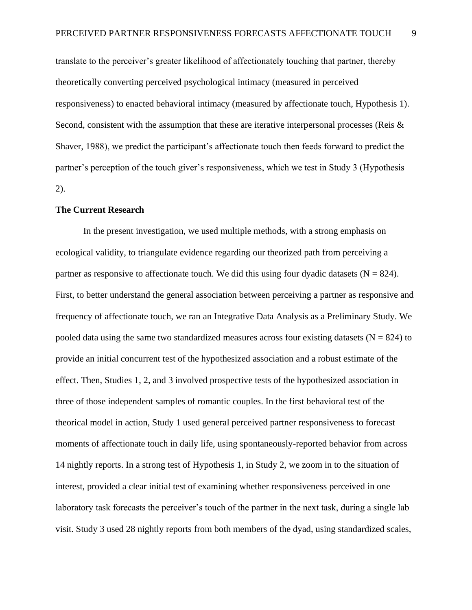translate to the perceiver's greater likelihood of affectionately touching that partner, thereby theoretically converting perceived psychological intimacy (measured in perceived responsiveness) to enacted behavioral intimacy (measured by affectionate touch, Hypothesis 1). Second, consistent with the assumption that these are iterative interpersonal processes (Reis & Shaver, 1988), we predict the participant's affectionate touch then feeds forward to predict the partner's perception of the touch giver's responsiveness, which we test in Study 3 (Hypothesis 2).

#### **The Current Research**

In the present investigation, we used multiple methods, with a strong emphasis on ecological validity, to triangulate evidence regarding our theorized path from perceiving a partner as responsive to affectionate touch. We did this using four dyadic datasets  $(N = 824)$ . First, to better understand the general association between perceiving a partner as responsive and frequency of affectionate touch, we ran an Integrative Data Analysis as a Preliminary Study. We pooled data using the same two standardized measures across four existing datasets ( $N = 824$ ) to provide an initial concurrent test of the hypothesized association and a robust estimate of the effect. Then, Studies 1, 2, and 3 involved prospective tests of the hypothesized association in three of those independent samples of romantic couples. In the first behavioral test of the theorical model in action, Study 1 used general perceived partner responsiveness to forecast moments of affectionate touch in daily life, using spontaneously-reported behavior from across 14 nightly reports. In a strong test of Hypothesis 1, in Study 2, we zoom in to the situation of interest, provided a clear initial test of examining whether responsiveness perceived in one laboratory task forecasts the perceiver's touch of the partner in the next task, during a single lab visit. Study 3 used 28 nightly reports from both members of the dyad, using standardized scales,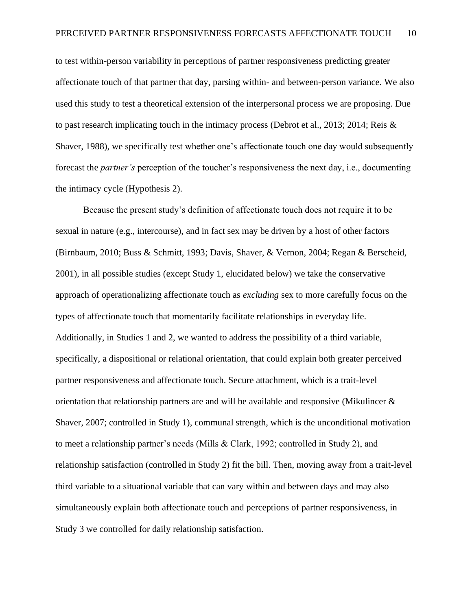to test within-person variability in perceptions of partner responsiveness predicting greater affectionate touch of that partner that day, parsing within- and between-person variance. We also used this study to test a theoretical extension of the interpersonal process we are proposing. Due to past research implicating touch in the intimacy process (Debrot et al., 2013; 2014; Reis & Shaver, 1988), we specifically test whether one's affectionate touch one day would subsequently forecast the *partner's* perception of the toucher's responsiveness the next day, i.e., documenting the intimacy cycle (Hypothesis 2).

Because the present study's definition of affectionate touch does not require it to be sexual in nature (e.g., intercourse), and in fact sex may be driven by a host of other factors (Birnbaum, 2010; Buss & Schmitt, 1993; Davis, Shaver, & Vernon, 2004; Regan & Berscheid, 2001), in all possible studies (except Study 1, elucidated below) we take the conservative approach of operationalizing affectionate touch as *excluding* sex to more carefully focus on the types of affectionate touch that momentarily facilitate relationships in everyday life. Additionally, in Studies 1 and 2, we wanted to address the possibility of a third variable, specifically, a dispositional or relational orientation, that could explain both greater perceived partner responsiveness and affectionate touch. Secure attachment, which is a trait-level orientation that relationship partners are and will be available and responsive (Mikulincer & Shaver, 2007; controlled in Study 1), communal strength, which is the unconditional motivation to meet a relationship partner's needs (Mills & Clark, 1992; controlled in Study 2), and relationship satisfaction (controlled in Study 2) fit the bill. Then, moving away from a trait-level third variable to a situational variable that can vary within and between days and may also simultaneously explain both affectionate touch and perceptions of partner responsiveness, in Study 3 we controlled for daily relationship satisfaction.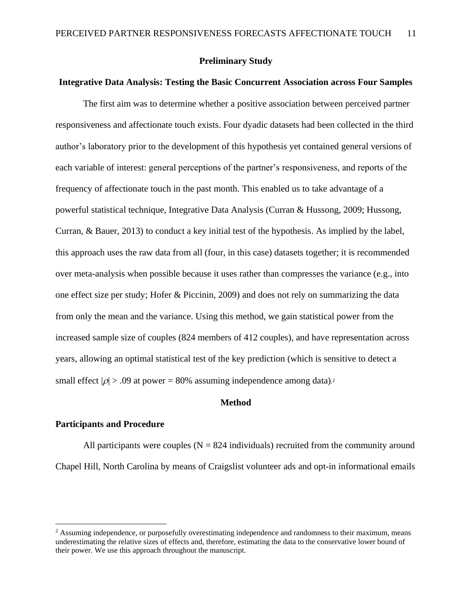#### **Preliminary Study**

## **Integrative Data Analysis: Testing the Basic Concurrent Association across Four Samples**

The first aim was to determine whether a positive association between perceived partner responsiveness and affectionate touch exists. Four dyadic datasets had been collected in the third author's laboratory prior to the development of this hypothesis yet contained general versions of each variable of interest: general perceptions of the partner's responsiveness, and reports of the frequency of affectionate touch in the past month. This enabled us to take advantage of a powerful statistical technique, Integrative Data Analysis (Curran & Hussong, 2009; Hussong, Curran, & Bauer, 2013) to conduct a key initial test of the hypothesis. As implied by the label, this approach uses the raw data from all (four, in this case) datasets together; it is recommended over meta-analysis when possible because it uses rather than compresses the variance (e.g., into one effect size per study; Hofer & Piccinin, 2009) and does not rely on summarizing the data from only the mean and the variance. Using this method, we gain statistical power from the increased sample size of couples (824 members of 412 couples), and have representation across years, allowing an optimal statistical test of the key prediction (which is sensitive to detect a small effect  $|\rho| > .09$  at power = 80% assuming independence among data).<sup>2</sup>

## **Method**

## **Participants and Procedure**

All participants were couples  $(N = 824$  individuals) recruited from the community around Chapel Hill, North Carolina by means of Craigslist volunteer ads and opt-in informational emails

<sup>&</sup>lt;sup>2</sup> Assuming independence, or purposefully overestimating independence and randomness to their maximum, means underestimating the relative sizes of effects and, therefore, estimating the data to the conservative lower bound of their power. We use this approach throughout the manuscript.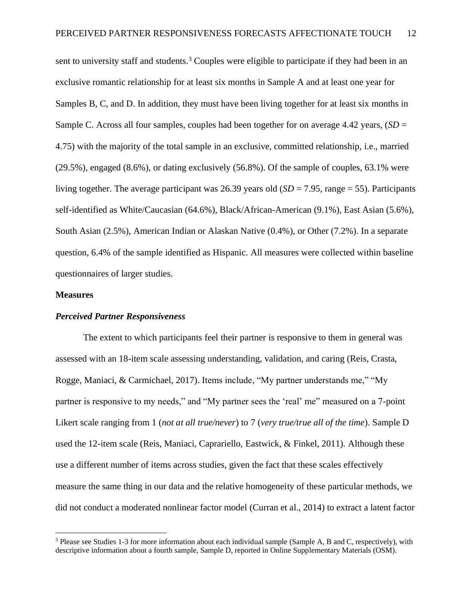sent to university staff and students.<sup>3</sup> Couples were eligible to participate if they had been in an exclusive romantic relationship for at least six months in Sample A and at least one year for Samples B, C, and D. In addition, they must have been living together for at least six months in Sample C. Across all four samples, couples had been together for on average 4.42 years, (*SD* = 4.75) with the majority of the total sample in an exclusive, committed relationship, i.e., married (29.5%), engaged (8.6%), or dating exclusively (56.8%). Of the sample of couples, 63.1% were living together. The average participant was 26.39 years old  $(SD = 7.95$ , range = 55). Participants self-identified as White/Caucasian (64.6%), Black/African-American (9.1%), East Asian (5.6%), South Asian (2.5%), American Indian or Alaskan Native (0.4%), or Other (7.2%). In a separate question, 6.4% of the sample identified as Hispanic. All measures were collected within baseline questionnaires of larger studies.

#### **Measures**

#### *Perceived Partner Responsiveness*

The extent to which participants feel their partner is responsive to them in general was assessed with an 18-item scale assessing understanding, validation, and caring (Reis, Crasta, Rogge, Maniaci, & Carmichael, 2017). Items include, "My partner understands me," "My partner is responsive to my needs," and "My partner sees the 'real' me" measured on a 7-point Likert scale ranging from 1 (*not at all true/never*) to 7 (*very true/true all of the time*). Sample D used the 12-item scale (Reis, Maniaci, Caprariello, Eastwick, & Finkel, 2011). Although these use a different number of items across studies, given the fact that these scales effectively measure the same thing in our data and the relative homogeneity of these particular methods, we did not conduct a moderated nonlinear factor model (Curran et al., 2014) to extract a latent factor

<sup>3</sup> Please see Studies 1-3 for more information about each individual sample (Sample A, B and C, respectively), with descriptive information about a fourth sample, Sample D, reported in Online Supplementary Materials (OSM).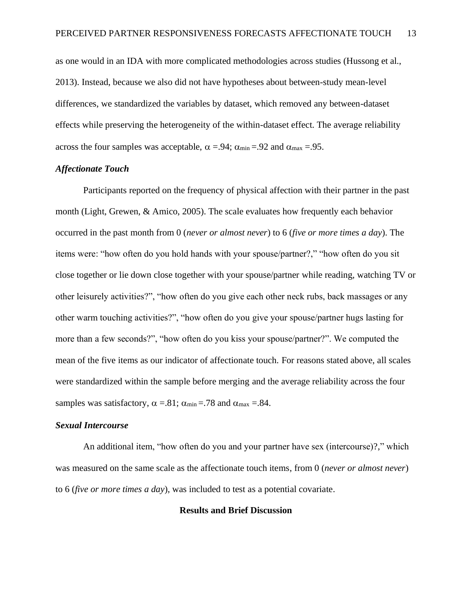as one would in an IDA with more complicated methodologies across studies (Hussong et al., 2013). Instead, because we also did not have hypotheses about between-study mean-level differences, we standardized the variables by dataset, which removed any between-dataset effects while preserving the heterogeneity of the within-dataset effect. The average reliability across the four samples was acceptable,  $\alpha = .94$ ;  $\alpha_{min} = .92$  and  $\alpha_{max} = .95$ .

#### *Affectionate Touch*

Participants reported on the frequency of physical affection with their partner in the past month (Light, Grewen, & Amico, 2005). The scale evaluates how frequently each behavior occurred in the past month from 0 (*never or almost never*) to 6 (*five or more times a day*). The items were: "how often do you hold hands with your spouse/partner?," "how often do you sit close together or lie down close together with your spouse/partner while reading, watching TV or other leisurely activities?", "how often do you give each other neck rubs, back massages or any other warm touching activities?", "how often do you give your spouse/partner hugs lasting for more than a few seconds?", "how often do you kiss your spouse/partner?". We computed the mean of the five items as our indicator of affectionate touch. For reasons stated above, all scales were standardized within the sample before merging and the average reliability across the four samples was satisfactory,  $\alpha = .81$ ;  $\alpha_{min} = .78$  and  $\alpha_{max} = .84$ .

#### *Sexual Intercourse*

An additional item, "how often do you and your partner have sex (intercourse)?," which was measured on the same scale as the affectionate touch items, from 0 (*never or almost never*) to 6 (*five or more times a day*), was included to test as a potential covariate.

#### **Results and Brief Discussion**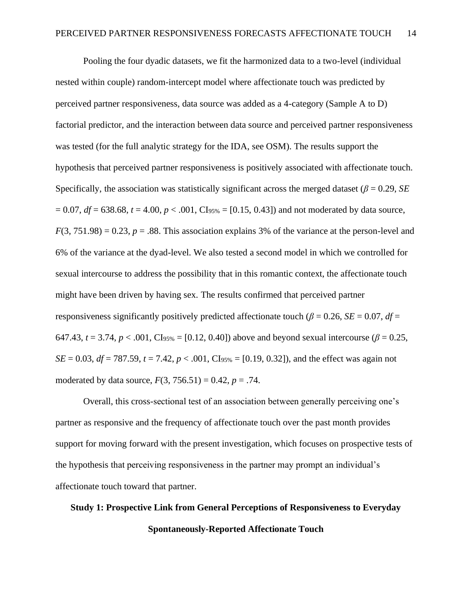Pooling the four dyadic datasets, we fit the harmonized data to a two-level (individual nested within couple) random-intercept model where affectionate touch was predicted by perceived partner responsiveness, data source was added as a 4-category (Sample A to D) factorial predictor, and the interaction between data source and perceived partner responsiveness was tested (for the full analytic strategy for the IDA, see OSM). The results support the hypothesis that perceived partner responsiveness is positively associated with affectionate touch. Specifically, the association was statistically significant across the merged dataset (*β* = 0.29, *SE*  $= 0.07$ ,  $df = 638.68$ ,  $t = 4.00$ ,  $p < .001$ , CI<sub>95%</sub> = [0.15, 0.43]) and not moderated by data source,  $F(3, 751.98) = 0.23$ ,  $p = .88$ . This association explains 3% of the variance at the person-level and 6% of the variance at the dyad-level. We also tested a second model in which we controlled for sexual intercourse to address the possibility that in this romantic context, the affectionate touch might have been driven by having sex. The results confirmed that perceived partner responsiveness significantly positively predicted affectionate touch ( $\beta$  = 0.26, *SE* = 0.07, *df* = 647.43,  $t = 3.74$ ,  $p < .001$ , CI<sub>95%</sub> = [0.12, 0.40]) above and beyond sexual intercourse ( $\beta = 0.25$ , *SE* = 0.03, *df* = 787.59, *t* = 7.42, *p* < .001, CI<sub>95%</sub> = [0.19, 0.32]), and the effect was again not moderated by data source,  $F(3, 756.51) = 0.42$ ,  $p = .74$ .

Overall, this cross-sectional test of an association between generally perceiving one's partner as responsive and the frequency of affectionate touch over the past month provides support for moving forward with the present investigation, which focuses on prospective tests of the hypothesis that perceiving responsiveness in the partner may prompt an individual's affectionate touch toward that partner.

# **Study 1: Prospective Link from General Perceptions of Responsiveness to Everyday Spontaneously-Reported Affectionate Touch**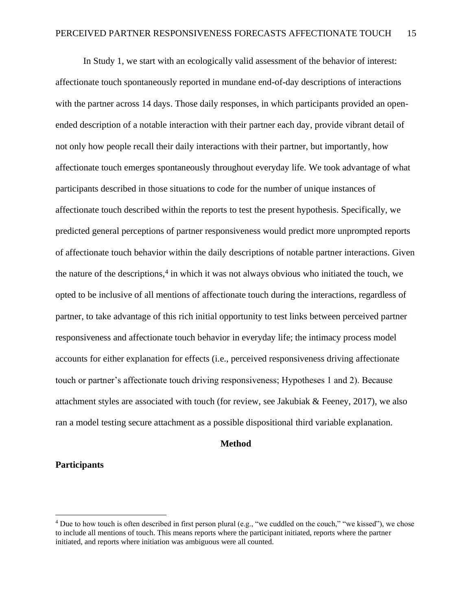In Study 1, we start with an ecologically valid assessment of the behavior of interest: affectionate touch spontaneously reported in mundane end-of-day descriptions of interactions with the partner across 14 days. Those daily responses, in which participants provided an openended description of a notable interaction with their partner each day, provide vibrant detail of not only how people recall their daily interactions with their partner, but importantly, how affectionate touch emerges spontaneously throughout everyday life. We took advantage of what participants described in those situations to code for the number of unique instances of affectionate touch described within the reports to test the present hypothesis. Specifically, we predicted general perceptions of partner responsiveness would predict more unprompted reports of affectionate touch behavior within the daily descriptions of notable partner interactions. Given the nature of the descriptions,<sup>4</sup> in which it was not always obvious who initiated the touch, we opted to be inclusive of all mentions of affectionate touch during the interactions, regardless of partner, to take advantage of this rich initial opportunity to test links between perceived partner responsiveness and affectionate touch behavior in everyday life; the intimacy process model accounts for either explanation for effects (i.e., perceived responsiveness driving affectionate touch or partner's affectionate touch driving responsiveness; Hypotheses 1 and 2). Because attachment styles are associated with touch (for review, see Jakubiak & Feeney, 2017), we also ran a model testing secure attachment as a possible dispositional third variable explanation.

#### **Method**

### **Participants**

<sup>4</sup> Due to how touch is often described in first person plural (e.g., "we cuddled on the couch," "we kissed"), we chose to include all mentions of touch. This means reports where the participant initiated, reports where the partner initiated, and reports where initiation was ambiguous were all counted.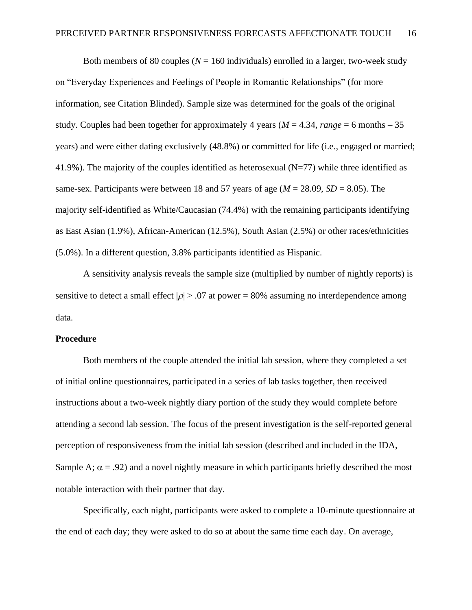Both members of 80 couples  $(N = 160$  individuals) enrolled in a larger, two-week study on "Everyday Experiences and Feelings of People in Romantic Relationships" (for more information, see Citation Blinded). Sample size was determined for the goals of the original study. Couples had been together for approximately 4 years ( $M = 4.34$ , range = 6 months – 35 years) and were either dating exclusively (48.8%) or committed for life (i.e., engaged or married; 41.9%). The majority of the couples identified as heterosexual  $(N=77)$  while three identified as same-sex. Participants were between 18 and 57 years of age ( $M = 28.09$ ,  $SD = 8.05$ ). The majority self-identified as White/Caucasian (74.4%) with the remaining participants identifying as East Asian (1.9%), African-American (12.5%), South Asian (2.5%) or other races/ethnicities (5.0%). In a different question, 3.8% participants identified as Hispanic.

A sensitivity analysis reveals the sample size (multiplied by number of nightly reports) is sensitive to detect a small effect  $|\rho| > 0.07$  at power = 80% assuming no interdependence among data.

## **Procedure**

Both members of the couple attended the initial lab session, where they completed a set of initial online questionnaires, participated in a series of lab tasks together, then received instructions about a two-week nightly diary portion of the study they would complete before attending a second lab session. The focus of the present investigation is the self-reported general perception of responsiveness from the initial lab session (described and included in the IDA, Sample A;  $\alpha$  = .92) and a novel nightly measure in which participants briefly described the most notable interaction with their partner that day.

Specifically, each night, participants were asked to complete a 10-minute questionnaire at the end of each day; they were asked to do so at about the same time each day. On average,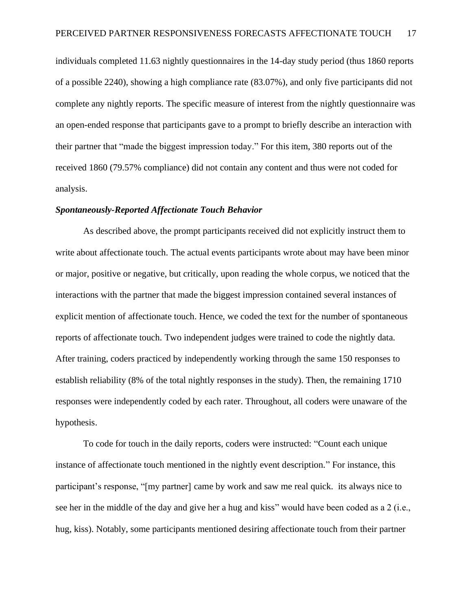individuals completed 11.63 nightly questionnaires in the 14-day study period (thus 1860 reports of a possible 2240), showing a high compliance rate (83.07%), and only five participants did not complete any nightly reports. The specific measure of interest from the nightly questionnaire was an open-ended response that participants gave to a prompt to briefly describe an interaction with their partner that "made the biggest impression today." For this item, 380 reports out of the received 1860 (79.57% compliance) did not contain any content and thus were not coded for analysis.

### *Spontaneously-Reported Affectionate Touch Behavior*

As described above, the prompt participants received did not explicitly instruct them to write about affectionate touch. The actual events participants wrote about may have been minor or major, positive or negative, but critically, upon reading the whole corpus, we noticed that the interactions with the partner that made the biggest impression contained several instances of explicit mention of affectionate touch. Hence, we coded the text for the number of spontaneous reports of affectionate touch. Two independent judges were trained to code the nightly data. After training, coders practiced by independently working through the same 150 responses to establish reliability (8% of the total nightly responses in the study). Then, the remaining 1710 responses were independently coded by each rater. Throughout, all coders were unaware of the hypothesis.

To code for touch in the daily reports, coders were instructed: "Count each unique instance of affectionate touch mentioned in the nightly event description." For instance, this participant's response, "[my partner] came by work and saw me real quick. its always nice to see her in the middle of the day and give her a hug and kiss" would have been coded as a 2 (i.e., hug, kiss). Notably, some participants mentioned desiring affectionate touch from their partner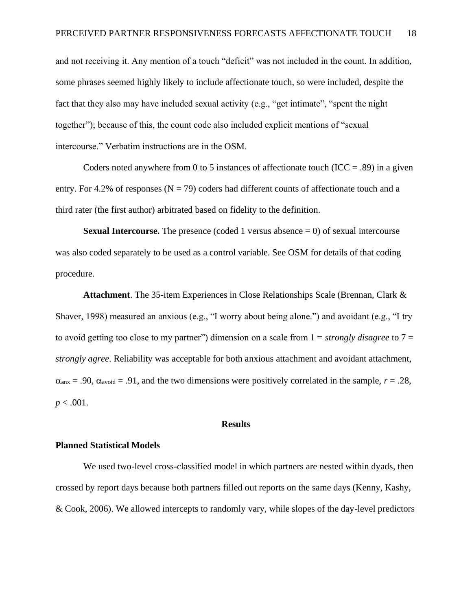and not receiving it. Any mention of a touch "deficit" was not included in the count. In addition, some phrases seemed highly likely to include affectionate touch, so were included, despite the fact that they also may have included sexual activity (e.g., "get intimate", "spent the night together"); because of this, the count code also included explicit mentions of "sexual intercourse." Verbatim instructions are in the OSM.

Coders noted anywhere from 0 to 5 instances of affectionate touch (ICC = .89) in a given entry. For 4.2% of responses ( $N = 79$ ) coders had different counts of affectionate touch and a third rater (the first author) arbitrated based on fidelity to the definition.

**Sexual Intercourse.** The presence (coded 1 versus absence  $= 0$ ) of sexual intercourse was also coded separately to be used as a control variable. See OSM for details of that coding procedure.

**Attachment**. The 35-item Experiences in Close Relationships Scale (Brennan, Clark & Shaver, 1998) measured an anxious (e.g., "I worry about being alone.") and avoidant (e.g., "I try to avoid getting too close to my partner") dimension on a scale from 1 = *strongly disagree* to 7 = *strongly agree*. Reliability was acceptable for both anxious attachment and avoidant attachment,  $\alpha_{\text{anx}} = .90$ ,  $\alpha_{\text{avoid}} = .91$ , and the two dimensions were positively correlated in the sample,  $r = .28$ ,  $p < .001$ .

#### **Results**

## **Planned Statistical Models**

We used two-level cross-classified model in which partners are nested within dyads, then crossed by report days because both partners filled out reports on the same days (Kenny, Kashy, & Cook, 2006). We allowed intercepts to randomly vary, while slopes of the day-level predictors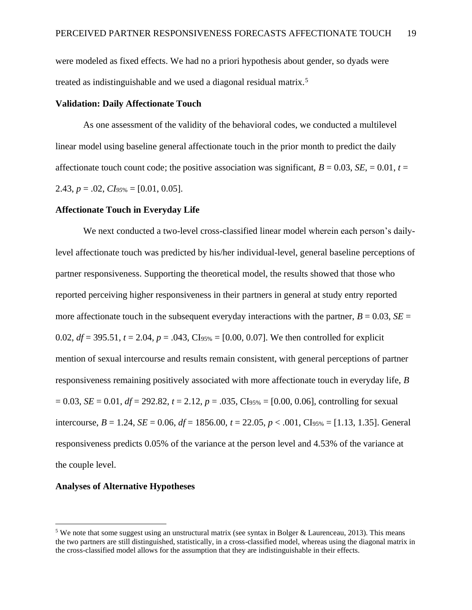were modeled as fixed effects. We had no a priori hypothesis about gender, so dyads were treated as indistinguishable and we used a diagonal residual matrix.<sup>5</sup>

#### **Validation: Daily Affectionate Touch**

As one assessment of the validity of the behavioral codes, we conducted a multilevel linear model using baseline general affectionate touch in the prior month to predict the daily affectionate touch count code; the positive association was significant,  $B = 0.03$ ,  $SE = 0.01$ ,  $t =$ 2.43,  $p = .02$ ,  $CIs_{95\%} = [0.01, 0.05]$ .

#### **Affectionate Touch in Everyday Life**

We next conducted a two-level cross-classified linear model wherein each person's dailylevel affectionate touch was predicted by his/her individual-level, general baseline perceptions of partner responsiveness. Supporting the theoretical model, the results showed that those who reported perceiving higher responsiveness in their partners in general at study entry reported more affectionate touch in the subsequent everyday interactions with the partner,  $B = 0.03$ ,  $SE =$ 0.02,  $df = 395.51$ ,  $t = 2.04$ ,  $p = .043$ , CI<sub>95%</sub> = [0.00, 0.07]. We then controlled for explicit mention of sexual intercourse and results remain consistent, with general perceptions of partner responsiveness remaining positively associated with more affectionate touch in everyday life, *B*  $= 0.03$ , *SE* = 0.01, *df* = 292.82, *t* = 2.12, *p* = .035, CI<sub>95%</sub> = [0.00, 0.06], controlling for sexual intercourse, *B* = 1.24, *SE* = 0.06, *df* = 1856.00, *t* = 22.05, *p* < .001, CI95% = [1.13, 1.35]. General responsiveness predicts 0.05% of the variance at the person level and 4.53% of the variance at the couple level.

#### **Analyses of Alternative Hypotheses**

<sup>5</sup> We note that some suggest using an unstructural matrix (see syntax in Bolger & Laurenceau, 2013). This means the two partners are still distinguished, statistically, in a cross-classified model, whereas using the diagonal matrix in the cross-classified model allows for the assumption that they are indistinguishable in their effects.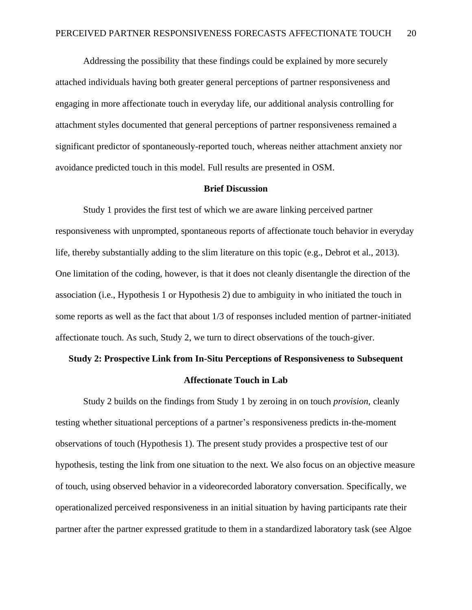Addressing the possibility that these findings could be explained by more securely attached individuals having both greater general perceptions of partner responsiveness and engaging in more affectionate touch in everyday life, our additional analysis controlling for attachment styles documented that general perceptions of partner responsiveness remained a significant predictor of spontaneously-reported touch, whereas neither attachment anxiety nor avoidance predicted touch in this model. Full results are presented in OSM.

#### **Brief Discussion**

Study 1 provides the first test of which we are aware linking perceived partner responsiveness with unprompted, spontaneous reports of affectionate touch behavior in everyday life, thereby substantially adding to the slim literature on this topic (e.g., Debrot et al., 2013). One limitation of the coding, however, is that it does not cleanly disentangle the direction of the association (i.e., Hypothesis 1 or Hypothesis 2) due to ambiguity in who initiated the touch in some reports as well as the fact that about 1/3 of responses included mention of partner-initiated affectionate touch. As such, Study 2, we turn to direct observations of the touch-giver.

# **Study 2: Prospective Link from In-Situ Perceptions of Responsiveness to Subsequent**

#### **Affectionate Touch in Lab**

Study 2 builds on the findings from Study 1 by zeroing in on touch *provision*, cleanly testing whether situational perceptions of a partner's responsiveness predicts in-the-moment observations of touch (Hypothesis 1). The present study provides a prospective test of our hypothesis, testing the link from one situation to the next. We also focus on an objective measure of touch, using observed behavior in a videorecorded laboratory conversation. Specifically, we operationalized perceived responsiveness in an initial situation by having participants rate their partner after the partner expressed gratitude to them in a standardized laboratory task (see Algoe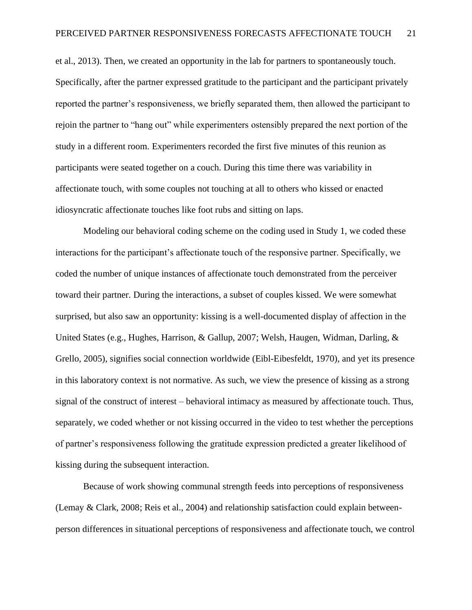et al., 2013). Then, we created an opportunity in the lab for partners to spontaneously touch. Specifically, after the partner expressed gratitude to the participant and the participant privately reported the partner's responsiveness, we briefly separated them, then allowed the participant to rejoin the partner to "hang out" while experimenters ostensibly prepared the next portion of the study in a different room. Experimenters recorded the first five minutes of this reunion as participants were seated together on a couch. During this time there was variability in affectionate touch, with some couples not touching at all to others who kissed or enacted idiosyncratic affectionate touches like foot rubs and sitting on laps.

Modeling our behavioral coding scheme on the coding used in Study 1, we coded these interactions for the participant's affectionate touch of the responsive partner. Specifically, we coded the number of unique instances of affectionate touch demonstrated from the perceiver toward their partner. During the interactions, a subset of couples kissed. We were somewhat surprised, but also saw an opportunity: kissing is a well-documented display of affection in the United States (e.g., Hughes, Harrison, & Gallup, 2007; Welsh, Haugen, Widman, Darling, & Grello, 2005), signifies social connection worldwide (Eibl-Eibesfeldt, 1970), and yet its presence in this laboratory context is not normative. As such, we view the presence of kissing as a strong signal of the construct of interest – behavioral intimacy as measured by affectionate touch. Thus, separately, we coded whether or not kissing occurred in the video to test whether the perceptions of partner's responsiveness following the gratitude expression predicted a greater likelihood of kissing during the subsequent interaction.

Because of work showing communal strength feeds into perceptions of responsiveness (Lemay & Clark, 2008; Reis et al., 2004) and relationship satisfaction could explain betweenperson differences in situational perceptions of responsiveness and affectionate touch, we control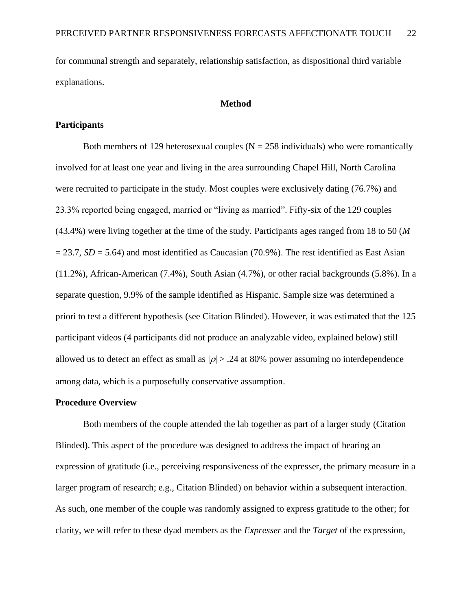for communal strength and separately, relationship satisfaction, as dispositional third variable explanations.

#### **Method**

#### **Participants**

Both members of 129 heterosexual couples ( $N = 258$  individuals) who were romantically involved for at least one year and living in the area surrounding Chapel Hill, North Carolina were recruited to participate in the study. Most couples were exclusively dating (76.7%) and 23.3% reported being engaged, married or "living as married". Fifty-six of the 129 couples (43.4%) were living together at the time of the study. Participants ages ranged from 18 to 50 (*M*  $= 23.7$ , *SD* = 5.64) and most identified as Caucasian (70.9%). The rest identified as East Asian (11.2%), African-American (7.4%), South Asian (4.7%), or other racial backgrounds (5.8%). In a separate question, 9.9% of the sample identified as Hispanic. Sample size was determined a priori to test a different hypothesis (see Citation Blinded). However, it was estimated that the 125 participant videos (4 participants did not produce an analyzable video, explained below) still allowed us to detect an effect as small as  $|\rho| > .24$  at 80% power assuming no interdependence among data, which is a purposefully conservative assumption.

#### **Procedure Overview**

Both members of the couple attended the lab together as part of a larger study (Citation Blinded). This aspect of the procedure was designed to address the impact of hearing an expression of gratitude (i.e., perceiving responsiveness of the expresser, the primary measure in a larger program of research; e.g., Citation Blinded) on behavior within a subsequent interaction. As such, one member of the couple was randomly assigned to express gratitude to the other; for clarity, we will refer to these dyad members as the *Expresser* and the *Target* of the expression,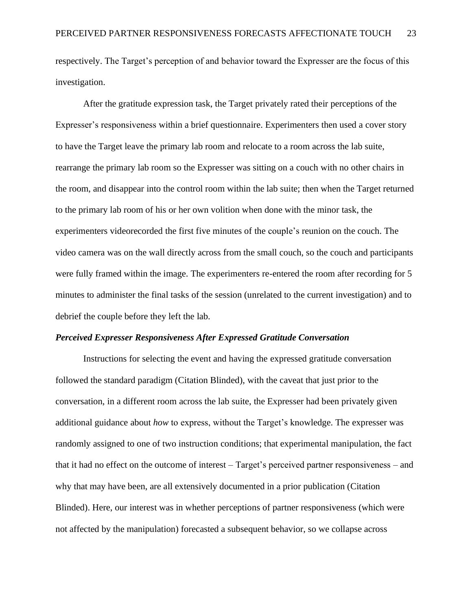respectively. The Target's perception of and behavior toward the Expresser are the focus of this investigation.

After the gratitude expression task, the Target privately rated their perceptions of the Expresser's responsiveness within a brief questionnaire. Experimenters then used a cover story to have the Target leave the primary lab room and relocate to a room across the lab suite, rearrange the primary lab room so the Expresser was sitting on a couch with no other chairs in the room, and disappear into the control room within the lab suite; then when the Target returned to the primary lab room of his or her own volition when done with the minor task, the experimenters videorecorded the first five minutes of the couple's reunion on the couch. The video camera was on the wall directly across from the small couch, so the couch and participants were fully framed within the image. The experimenters re-entered the room after recording for 5 minutes to administer the final tasks of the session (unrelated to the current investigation) and to debrief the couple before they left the lab.

#### *Perceived Expresser Responsiveness After Expressed Gratitude Conversation*

Instructions for selecting the event and having the expressed gratitude conversation followed the standard paradigm (Citation Blinded), with the caveat that just prior to the conversation, in a different room across the lab suite, the Expresser had been privately given additional guidance about *how* to express, without the Target's knowledge. The expresser was randomly assigned to one of two instruction conditions; that experimental manipulation, the fact that it had no effect on the outcome of interest – Target's perceived partner responsiveness – and why that may have been, are all extensively documented in a prior publication (Citation Blinded). Here, our interest was in whether perceptions of partner responsiveness (which were not affected by the manipulation) forecasted a subsequent behavior, so we collapse across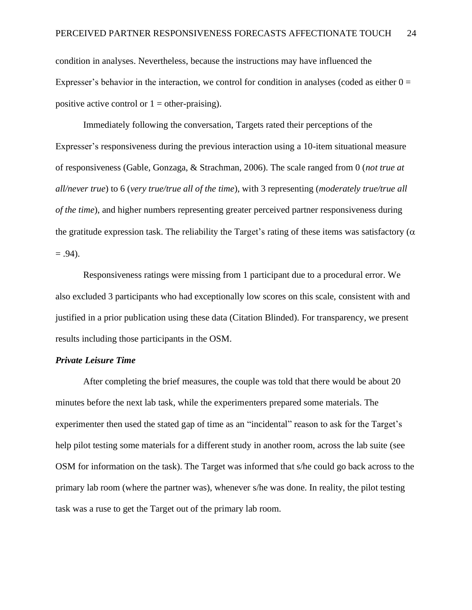condition in analyses. Nevertheless, because the instructions may have influenced the Expresser's behavior in the interaction, we control for condition in analyses (coded as either  $0 =$ positive active control or  $1 =$  other-praising).

Immediately following the conversation, Targets rated their perceptions of the Expresser's responsiveness during the previous interaction using a 10-item situational measure of responsiveness (Gable, Gonzaga, & Strachman, 2006). The scale ranged from 0 (*not true at all/never true*) to 6 (*very true/true all of the time*), with 3 representing (*moderately true/true all of the time*), and higher numbers representing greater perceived partner responsiveness during the gratitude expression task. The reliability the Target's rating of these items was satisfactory ( $\alpha$ )  $= .94$ ).

Responsiveness ratings were missing from 1 participant due to a procedural error. We also excluded 3 participants who had exceptionally low scores on this scale, consistent with and justified in a prior publication using these data (Citation Blinded). For transparency, we present results including those participants in the OSM.

## *Private Leisure Time*

After completing the brief measures, the couple was told that there would be about 20 minutes before the next lab task, while the experimenters prepared some materials. The experimenter then used the stated gap of time as an "incidental" reason to ask for the Target's help pilot testing some materials for a different study in another room, across the lab suite (see OSM for information on the task). The Target was informed that s/he could go back across to the primary lab room (where the partner was), whenever s/he was done. In reality, the pilot testing task was a ruse to get the Target out of the primary lab room.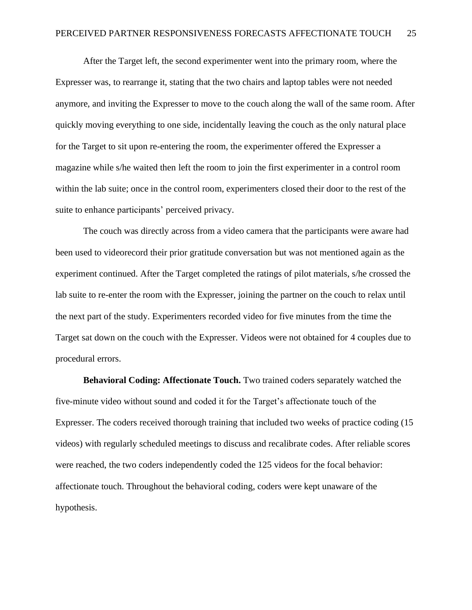After the Target left, the second experimenter went into the primary room, where the Expresser was, to rearrange it, stating that the two chairs and laptop tables were not needed anymore, and inviting the Expresser to move to the couch along the wall of the same room. After quickly moving everything to one side, incidentally leaving the couch as the only natural place for the Target to sit upon re-entering the room, the experimenter offered the Expresser a magazine while s/he waited then left the room to join the first experimenter in a control room within the lab suite; once in the control room, experimenters closed their door to the rest of the suite to enhance participants' perceived privacy.

The couch was directly across from a video camera that the participants were aware had been used to videorecord their prior gratitude conversation but was not mentioned again as the experiment continued. After the Target completed the ratings of pilot materials, s/he crossed the lab suite to re-enter the room with the Expresser, joining the partner on the couch to relax until the next part of the study. Experimenters recorded video for five minutes from the time the Target sat down on the couch with the Expresser. Videos were not obtained for 4 couples due to procedural errors.

**Behavioral Coding: Affectionate Touch.** Two trained coders separately watched the five-minute video without sound and coded it for the Target's affectionate touch of the Expresser. The coders received thorough training that included two weeks of practice coding (15 videos) with regularly scheduled meetings to discuss and recalibrate codes. After reliable scores were reached, the two coders independently coded the 125 videos for the focal behavior: affectionate touch. Throughout the behavioral coding, coders were kept unaware of the hypothesis.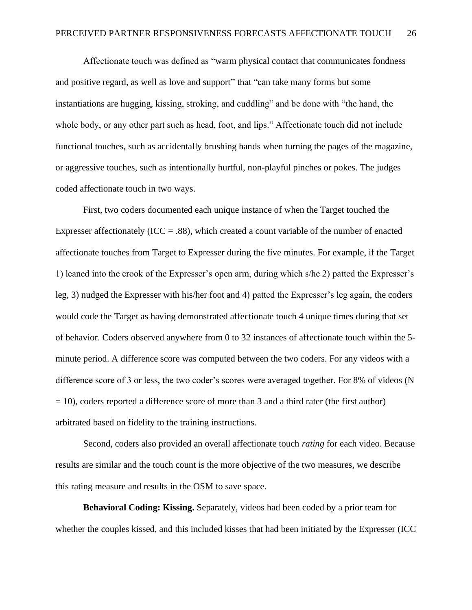Affectionate touch was defined as "warm physical contact that communicates fondness and positive regard, as well as love and support" that "can take many forms but some instantiations are hugging, kissing, stroking, and cuddling" and be done with "the hand, the whole body, or any other part such as head, foot, and lips." Affectionate touch did not include functional touches, such as accidentally brushing hands when turning the pages of the magazine, or aggressive touches, such as intentionally hurtful, non-playful pinches or pokes. The judges coded affectionate touch in two ways.

First, two coders documented each unique instance of when the Target touched the Expresser affectionately (ICC = .88), which created a count variable of the number of enacted affectionate touches from Target to Expresser during the five minutes. For example, if the Target 1) leaned into the crook of the Expresser's open arm, during which s/he 2) patted the Expresser's leg, 3) nudged the Expresser with his/her foot and 4) patted the Expresser's leg again, the coders would code the Target as having demonstrated affectionate touch 4 unique times during that set of behavior. Coders observed anywhere from 0 to 32 instances of affectionate touch within the 5 minute period. A difference score was computed between the two coders. For any videos with a difference score of 3 or less, the two coder's scores were averaged together. For 8% of videos (N  $= 10$ ), coders reported a difference score of more than 3 and a third rater (the first author) arbitrated based on fidelity to the training instructions.

Second, coders also provided an overall affectionate touch *rating* for each video. Because results are similar and the touch count is the more objective of the two measures, we describe this rating measure and results in the OSM to save space.

**Behavioral Coding: Kissing.** Separately, videos had been coded by a prior team for whether the couples kissed, and this included kisses that had been initiated by the Expresser (ICC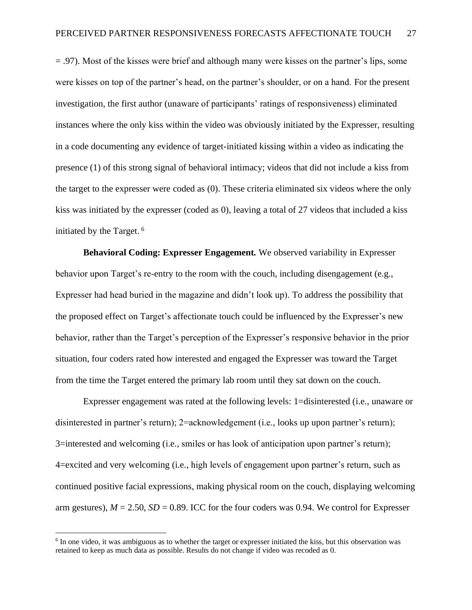= .97). Most of the kisses were brief and although many were kisses on the partner's lips, some were kisses on top of the partner's head, on the partner's shoulder, or on a hand. For the present investigation, the first author (unaware of participants' ratings of responsiveness) eliminated instances where the only kiss within the video was obviously initiated by the Expresser, resulting in a code documenting any evidence of target-initiated kissing within a video as indicating the presence (1) of this strong signal of behavioral intimacy; videos that did not include a kiss from the target to the expresser were coded as (0). These criteria eliminated six videos where the only kiss was initiated by the expresser (coded as 0), leaving a total of 27 videos that included a kiss initiated by the Target. 6

**Behavioral Coding: Expresser Engagement***.* We observed variability in Expresser behavior upon Target's re-entry to the room with the couch, including disengagement (e.g., Expresser had head buried in the magazine and didn't look up). To address the possibility that the proposed effect on Target's affectionate touch could be influenced by the Expresser's new behavior, rather than the Target's perception of the Expresser's responsive behavior in the prior situation, four coders rated how interested and engaged the Expresser was toward the Target from the time the Target entered the primary lab room until they sat down on the couch.

Expresser engagement was rated at the following levels: 1=disinterested (i.e., unaware or disinterested in partner's return); 2=acknowledgement (i.e., looks up upon partner's return); 3=interested and welcoming (i.e., smiles or has look of anticipation upon partner's return); 4=excited and very welcoming (i.e., high levels of engagement upon partner's return, such as continued positive facial expressions, making physical room on the couch, displaying welcoming arm gestures),  $M = 2.50$ ,  $SD = 0.89$ . ICC for the four coders was 0.94. We control for Expresser

<sup>&</sup>lt;sup>6</sup> In one video, it was ambiguous as to whether the target or expresser initiated the kiss, but this observation was retained to keep as much data as possible. Results do not change if video was recoded as 0.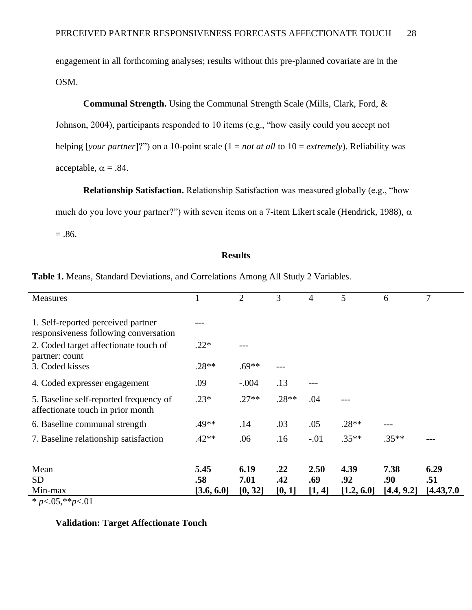engagement in all forthcoming analyses; results without this pre-planned covariate are in the OSM.

# **Communal Strength.** Using the Communal Strength Scale (Mills, Clark, Ford, &

Johnson, 2004), participants responded to 10 items (e.g., "how easily could you accept not helping [*your partner*]?") on a 10-point scale (1 = *not at all* to 10 = *extremely*). Reliability was acceptable,  $\alpha = .84$ .

**Relationship Satisfaction.** Relationship Satisfaction was measured globally (e.g., "how

much do you love your partner?") with seven items on a 7-item Likert scale (Hendrick, 1988),  $\alpha$ 

 $=.86.$ 

## **Results**

| Table 1. Means, Standard Deviations, and Correlations Among All Study 2 Variables. |  |  |
|------------------------------------------------------------------------------------|--|--|
|------------------------------------------------------------------------------------|--|--|

| <b>Measures</b>                                                             |            | $\overline{2}$ | 3       | 4      | 5          | 6          | 7          |
|-----------------------------------------------------------------------------|------------|----------------|---------|--------|------------|------------|------------|
|                                                                             |            |                |         |        |            |            |            |
| 1. Self-reported perceived partner<br>responsiveness following conversation |            |                |         |        |            |            |            |
| 2. Coded target affectionate touch of<br>partner: count                     | $.22*$     |                |         |        |            |            |            |
| 3. Coded kisses                                                             | $.28**$    | $.69**$        |         |        |            |            |            |
| 4. Coded expresser engagement                                               | .09        | $-.004$        | .13     |        |            |            |            |
| 5. Baseline self-reported frequency of<br>affectionate touch in prior month | $.23*$     | $.27**$        | $.28**$ | .04    |            |            |            |
| 6. Baseline communal strength                                               | .49**      | .14            | .03     | .05    | $.28**$    |            |            |
| 7. Baseline relationship satisfaction                                       | $.42**$    | .06            | .16     | $-.01$ | $.35**$    | $.35**$    |            |
|                                                                             |            |                |         |        |            |            |            |
| Mean                                                                        | 5.45       | 6.19           | .22     | 2.50   | 4.39       | 7.38       | 6.29       |
| <b>SD</b>                                                                   | .58        | 7.01           | .42     | .69    | .92        | .90        | .51        |
| Min-max                                                                     | [3.6, 6.0] | [0, 32]        | [0, 1]  | [1, 4] | [1.2, 6.0] | [4.4, 9.2] | [4.43,7.0] |
| $\sim$ $\sim$                                                               |            |                |         |        |            |            |            |

\* *p*<.05,\*\**p*<.01

## **Validation: Target Affectionate Touch**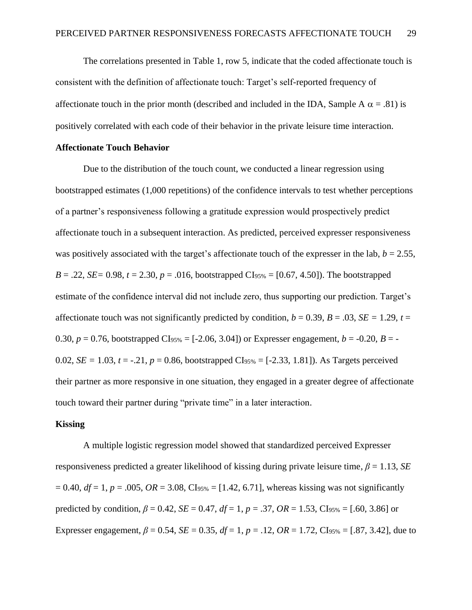The correlations presented in Table 1, row 5, indicate that the coded affectionate touch is consistent with the definition of affectionate touch: Target's self-reported frequency of affectionate touch in the prior month (described and included in the IDA, Sample A  $\alpha$  = .81) is positively correlated with each code of their behavior in the private leisure time interaction.

#### **Affectionate Touch Behavior**

Due to the distribution of the touch count, we conducted a linear regression using bootstrapped estimates (1,000 repetitions) of the confidence intervals to test whether perceptions of a partner's responsiveness following a gratitude expression would prospectively predict affectionate touch in a subsequent interaction. As predicted, perceived expresser responsiveness was positively associated with the target's affectionate touch of the expresser in the lab,  $b = 2.55$ , *B* = .22, *SE* = 0.98, *t* = 2.30, *p* = .016, bootstrapped CI<sub>95%</sub> = [0.67, 4.50]). The bootstrapped estimate of the confidence interval did not include zero, thus supporting our prediction. Target's affectionate touch was not significantly predicted by condition,  $b = 0.39$ ,  $B = .03$ ,  $SE = 1.29$ ,  $t =$ 0.30,  $p = 0.76$ , bootstrapped CI<sub>95%</sub> = [-2.06, 3.04]) or Expresser engagement,  $b = -0.20$ ,  $B = -0.20$ 0.02, *SE* = 1.03,  $t = -0.21$ ,  $p = 0.86$ , bootstrapped CI<sub>95%</sub> = [-2.33, 1.81]). As Targets perceived their partner as more responsive in one situation, they engaged in a greater degree of affectionate touch toward their partner during "private time" in a later interaction.

## **Kissing**

A multiple logistic regression model showed that standardized perceived Expresser responsiveness predicted a greater likelihood of kissing during private leisure time, *β* = 1.13, *SE*  $= 0.40$ ,  $df = 1$ ,  $p = .005$ ,  $OR = 3.08$ ,  $CI_{95\%} = [1.42, 6.71]$ , whereas kissing was not significantly predicted by condition,  $\beta = 0.42$ ,  $SE = 0.47$ ,  $df = 1$ ,  $p = .37$ ,  $OR = 1.53$ ,  $CI_{95\%} = [.60, 3.86]$  or Expresser engagement,  $\beta = 0.54$ ,  $SE = 0.35$ ,  $df = 1$ ,  $p = .12$ ,  $OR = 1.72$ ,  $CIs_{5\%} = [.87, 3.42]$ , due to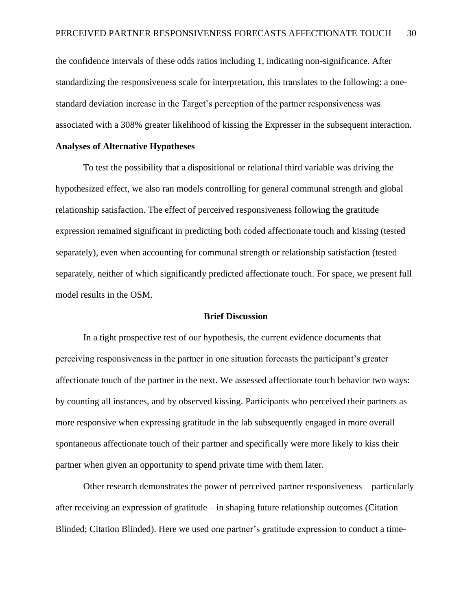the confidence intervals of these odds ratios including 1, indicating non-significance. After standardizing the responsiveness scale for interpretation, this translates to the following: a onestandard deviation increase in the Target's perception of the partner responsiveness was associated with a 308% greater likelihood of kissing the Expresser in the subsequent interaction.

#### **Analyses of Alternative Hypotheses**

To test the possibility that a dispositional or relational third variable was driving the hypothesized effect, we also ran models controlling for general communal strength and global relationship satisfaction. The effect of perceived responsiveness following the gratitude expression remained significant in predicting both coded affectionate touch and kissing (tested separately), even when accounting for communal strength or relationship satisfaction (tested separately, neither of which significantly predicted affectionate touch. For space, we present full model results in the OSM.

#### **Brief Discussion**

In a tight prospective test of our hypothesis, the current evidence documents that perceiving responsiveness in the partner in one situation forecasts the participant's greater affectionate touch of the partner in the next. We assessed affectionate touch behavior two ways: by counting all instances, and by observed kissing. Participants who perceived their partners as more responsive when expressing gratitude in the lab subsequently engaged in more overall spontaneous affectionate touch of their partner and specifically were more likely to kiss their partner when given an opportunity to spend private time with them later.

Other research demonstrates the power of perceived partner responsiveness – particularly after receiving an expression of gratitude – in shaping future relationship outcomes (Citation Blinded; Citation Blinded). Here we used one partner's gratitude expression to conduct a time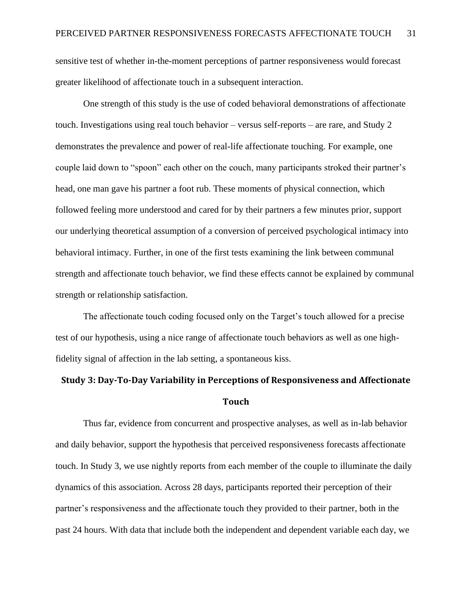sensitive test of whether in-the-moment perceptions of partner responsiveness would forecast greater likelihood of affectionate touch in a subsequent interaction.

One strength of this study is the use of coded behavioral demonstrations of affectionate touch. Investigations using real touch behavior – versus self-reports – are rare, and Study 2 demonstrates the prevalence and power of real-life affectionate touching. For example, one couple laid down to "spoon" each other on the couch, many participants stroked their partner's head, one man gave his partner a foot rub. These moments of physical connection, which followed feeling more understood and cared for by their partners a few minutes prior, support our underlying theoretical assumption of a conversion of perceived psychological intimacy into behavioral intimacy. Further, in one of the first tests examining the link between communal strength and affectionate touch behavior, we find these effects cannot be explained by communal strength or relationship satisfaction.

The affectionate touch coding focused only on the Target's touch allowed for a precise test of our hypothesis, using a nice range of affectionate touch behaviors as well as one highfidelity signal of affection in the lab setting, a spontaneous kiss.

# **Study 3: Day-To-Day Variability in Perceptions of Responsiveness and Affectionate Touch**

Thus far, evidence from concurrent and prospective analyses, as well as in-lab behavior and daily behavior, support the hypothesis that perceived responsiveness forecasts affectionate touch. In Study 3, we use nightly reports from each member of the couple to illuminate the daily dynamics of this association. Across 28 days, participants reported their perception of their partner's responsiveness and the affectionate touch they provided to their partner, both in the past 24 hours. With data that include both the independent and dependent variable each day, we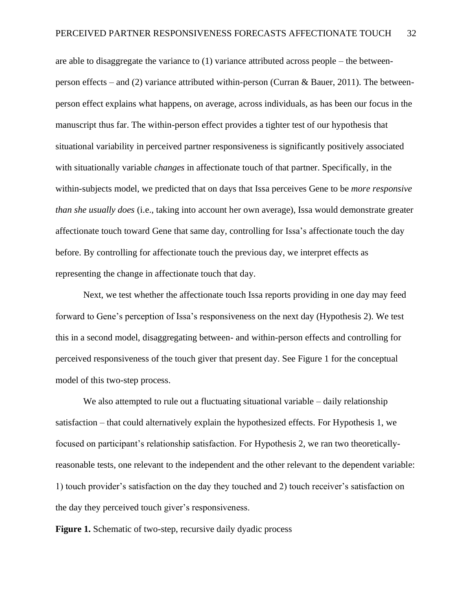are able to disaggregate the variance to  $(1)$  variance attributed across people – the betweenperson effects – and (2) variance attributed within-person (Curran & Bauer, 2011). The betweenperson effect explains what happens, on average, across individuals, as has been our focus in the manuscript thus far. The within-person effect provides a tighter test of our hypothesis that situational variability in perceived partner responsiveness is significantly positively associated with situationally variable *changes* in affectionate touch of that partner. Specifically, in the within-subjects model, we predicted that on days that Issa perceives Gene to be *more responsive than she usually does* (i.e., taking into account her own average), Issa would demonstrate greater affectionate touch toward Gene that same day, controlling for Issa's affectionate touch the day before. By controlling for affectionate touch the previous day, we interpret effects as representing the change in affectionate touch that day.

Next, we test whether the affectionate touch Issa reports providing in one day may feed forward to Gene's perception of Issa's responsiveness on the next day (Hypothesis 2). We test this in a second model, disaggregating between- and within-person effects and controlling for perceived responsiveness of the touch giver that present day. See Figure 1 for the conceptual model of this two-step process.

We also attempted to rule out a fluctuating situational variable – daily relationship satisfaction – that could alternatively explain the hypothesized effects. For Hypothesis 1, we focused on participant's relationship satisfaction. For Hypothesis 2, we ran two theoreticallyreasonable tests, one relevant to the independent and the other relevant to the dependent variable: 1) touch provider's satisfaction on the day they touched and 2) touch receiver's satisfaction on the day they perceived touch giver's responsiveness.

**Figure 1.** Schematic of two-step, recursive daily dyadic process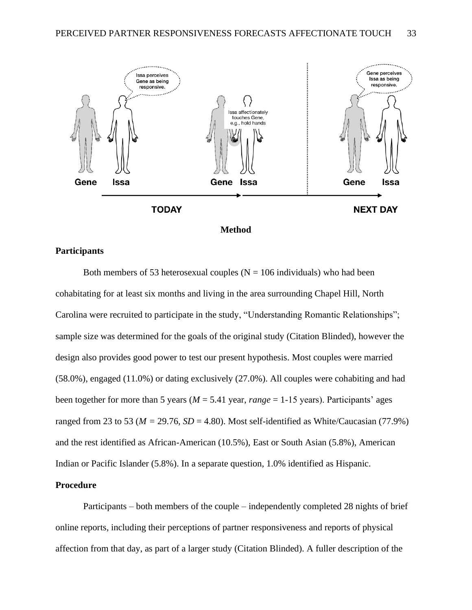



## **Participants**

Both members of 53 heterosexual couples ( $N = 106$  individuals) who had been cohabitating for at least six months and living in the area surrounding Chapel Hill, North Carolina were recruited to participate in the study, "Understanding Romantic Relationships"; sample size was determined for the goals of the original study (Citation Blinded), however the design also provides good power to test our present hypothesis. Most couples were married (58.0%), engaged (11.0%) or dating exclusively (27.0%). All couples were cohabiting and had been together for more than 5 years ( $M = 5.41$  year, *range* = 1-15 years). Participants' ages ranged from 23 to 53 ( $M = 29.76$ ,  $SD = 4.80$ ). Most self-identified as White/Caucasian (77.9%) and the rest identified as African-American (10.5%), East or South Asian (5.8%), American Indian or Pacific Islander (5.8%). In a separate question, 1.0% identified as Hispanic.

## **Procedure**

Participants – both members of the couple – independently completed 28 nights of brief online reports, including their perceptions of partner responsiveness and reports of physical affection from that day, as part of a larger study (Citation Blinded). A fuller description of the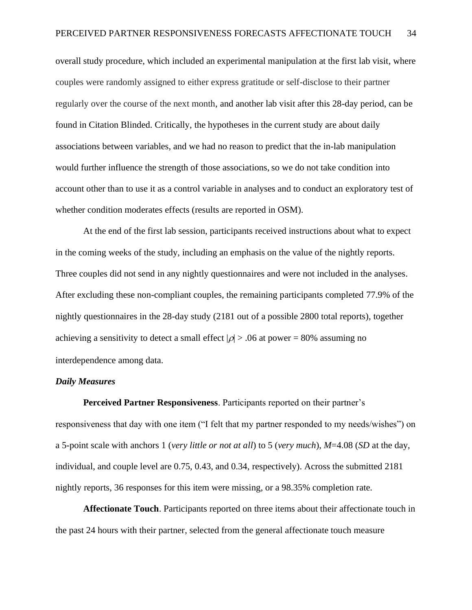overall study procedure, which included an experimental manipulation at the first lab visit, where couples were randomly assigned to either express gratitude or self-disclose to their partner regularly over the course of the next month, and another lab visit after this 28-day period, can be found in Citation Blinded. Critically, the hypotheses in the current study are about daily associations between variables, and we had no reason to predict that the in-lab manipulation would further influence the strength of those associations, so we do not take condition into account other than to use it as a control variable in analyses and to conduct an exploratory test of whether condition moderates effects (results are reported in OSM).

At the end of the first lab session, participants received instructions about what to expect in the coming weeks of the study, including an emphasis on the value of the nightly reports. Three couples did not send in any nightly questionnaires and were not included in the analyses. After excluding these non-compliant couples, the remaining participants completed 77.9% of the nightly questionnaires in the 28-day study (2181 out of a possible 2800 total reports), together achieving a sensitivity to detect a small effect  $|\rho| > .06$  at power = 80% assuming no interdependence among data.

### *Daily Measures*

**Perceived Partner Responsiveness**. Participants reported on their partner's responsiveness that day with one item ("I felt that my partner responded to my needs/wishes") on a 5-point scale with anchors 1 (*very little or not at all*) to 5 (*very much*), *M*=4.08 (*SD* at the day, individual, and couple level are 0.75, 0.43, and 0.34, respectively). Across the submitted 2181 nightly reports, 36 responses for this item were missing, or a 98.35% completion rate.

**Affectionate Touch**. Participants reported on three items about their affectionate touch in the past 24 hours with their partner, selected from the general affectionate touch measure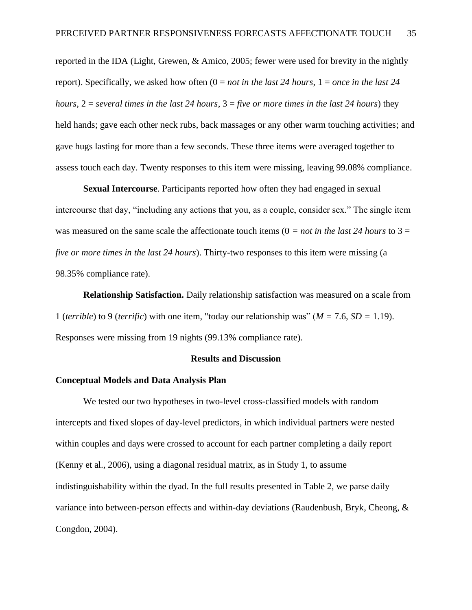reported in the IDA (Light, Grewen, & Amico, 2005; fewer were used for brevity in the nightly report). Specifically, we asked how often (0 = *not in the last 24 hours*, 1 = *once in the last 24 hours,* 2 = *several times in the last 24 hours*, 3 = *five or more times in the last 24 hours*) they held hands; gave each other neck rubs, back massages or any other warm touching activities; and gave hugs lasting for more than a few seconds. These three items were averaged together to assess touch each day. Twenty responses to this item were missing, leaving 99.08% compliance.

**Sexual Intercourse**. Participants reported how often they had engaged in sexual intercourse that day, "including any actions that you, as a couple, consider sex." The single item was measured on the same scale the affectionate touch items  $(0 = not in the last 24 hours to 3 =$ *five or more times in the last 24 hours*). Thirty-two responses to this item were missing (a 98.35% compliance rate).

**Relationship Satisfaction.** Daily relationship satisfaction was measured on a scale from 1 (*terrible*) to 9 (*terrific*) with one item, "today our relationship was" (*M =* 7.6, *SD =* 1.19). Responses were missing from 19 nights (99.13% compliance rate).

#### **Results and Discussion**

#### **Conceptual Models and Data Analysis Plan**

We tested our two hypotheses in two-level cross-classified models with random intercepts and fixed slopes of day-level predictors, in which individual partners were nested within couples and days were crossed to account for each partner completing a daily report (Kenny et al., 2006), using a diagonal residual matrix, as in Study 1, to assume indistinguishability within the dyad. In the full results presented in Table 2, we parse daily variance into between-person effects and within-day deviations (Raudenbush, Bryk, Cheong, & Congdon, 2004).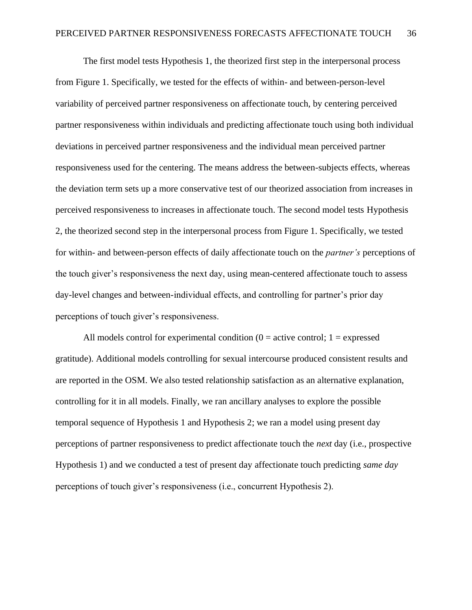The first model tests Hypothesis 1, the theorized first step in the interpersonal process from Figure 1. Specifically, we tested for the effects of within- and between-person-level variability of perceived partner responsiveness on affectionate touch, by centering perceived partner responsiveness within individuals and predicting affectionate touch using both individual deviations in perceived partner responsiveness and the individual mean perceived partner responsiveness used for the centering. The means address the between-subjects effects, whereas the deviation term sets up a more conservative test of our theorized association from increases in perceived responsiveness to increases in affectionate touch. The second model tests Hypothesis 2, the theorized second step in the interpersonal process from Figure 1. Specifically, we tested for within- and between-person effects of daily affectionate touch on the *partner's* perceptions of the touch giver's responsiveness the next day, using mean-centered affectionate touch to assess day-level changes and between-individual effects, and controlling for partner's prior day perceptions of touch giver's responsiveness.

All models control for experimental condition  $(0 = \text{active control}; 1 = \text{expressed})$ gratitude). Additional models controlling for sexual intercourse produced consistent results and are reported in the OSM. We also tested relationship satisfaction as an alternative explanation, controlling for it in all models. Finally, we ran ancillary analyses to explore the possible temporal sequence of Hypothesis 1 and Hypothesis 2; we ran a model using present day perceptions of partner responsiveness to predict affectionate touch the *next* day (i.e., prospective Hypothesis 1) and we conducted a test of present day affectionate touch predicting *same day* perceptions of touch giver's responsiveness (i.e., concurrent Hypothesis 2).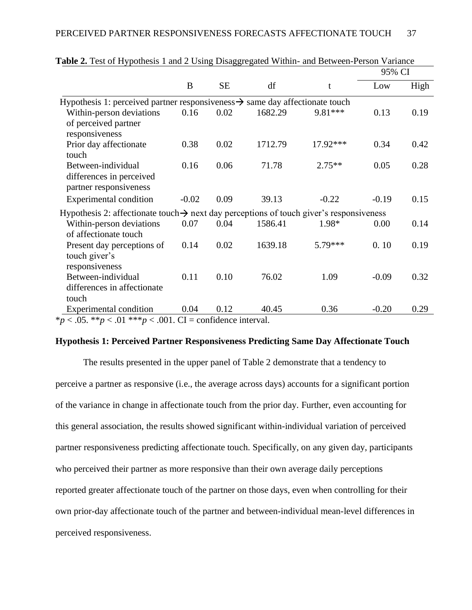|                                                                                                     |         |           |         |          | 95% CI  |      |
|-----------------------------------------------------------------------------------------------------|---------|-----------|---------|----------|---------|------|
|                                                                                                     | B       | <b>SE</b> | df      | t        | Low     | High |
| Hypothesis 1: perceived partner responsiveness $\rightarrow$ same day affectionate touch            |         |           |         |          |         |      |
| Within-person deviations<br>of perceived partner<br>responsiveness                                  | 0.16    | 0.02      | 1682.29 | 9.81 *** | 0.13    | 0.19 |
| Prior day affectionate<br>touch                                                                     | 0.38    | 0.02      | 1712.79 | 17.92*** | 0.34    | 0.42 |
| Between-individual<br>differences in perceived<br>partner responsiveness                            | 0.16    | 0.06      | 71.78   | $2.75**$ | 0.05    | 0.28 |
| <b>Experimental condition</b>                                                                       | $-0.02$ | 0.09      | 39.13   | $-0.22$  | $-0.19$ | 0.15 |
| Hypothesis 2: affectionate touch $\rightarrow$ next day perceptions of touch giver's responsiveness |         |           |         |          |         |      |
| Within-person deviations<br>of affectionate touch                                                   | 0.07    | 0.04      | 1586.41 | 1.98*    | 0.00    | 0.14 |
| Present day perceptions of<br>touch giver's<br>responsiveness                                       | 0.14    | 0.02      | 1639.18 | 5.79***  | 0.10    | 0.19 |
| Between-individual<br>differences in affectionate<br>touch                                          | 0.11    | 0.10      | 76.02   | 1.09     | $-0.09$ | 0.32 |
| <b>Experimental condition</b>                                                                       | 0.04    | 0.12      | 40.45   | 0.36     | $-0.20$ | 0.29 |
| *p < .05. **p < .01 ***p < .001. CI = confidence interval.                                          |         |           |         |          |         |      |

| Table 2. Test of Hypothesis 1 and 2 Using Disaggregated Within- and Between-Person Variance |  |  |  |
|---------------------------------------------------------------------------------------------|--|--|--|
|---------------------------------------------------------------------------------------------|--|--|--|

### **Hypothesis 1: Perceived Partner Responsiveness Predicting Same Day Affectionate Touch**

The results presented in the upper panel of Table 2 demonstrate that a tendency to perceive a partner as responsive (i.e., the average across days) accounts for a significant portion of the variance in change in affectionate touch from the prior day. Further, even accounting for this general association, the results showed significant within-individual variation of perceived partner responsiveness predicting affectionate touch. Specifically, on any given day, participants who perceived their partner as more responsive than their own average daily perceptions reported greater affectionate touch of the partner on those days, even when controlling for their own prior-day affectionate touch of the partner and between-individual mean-level differences in perceived responsiveness.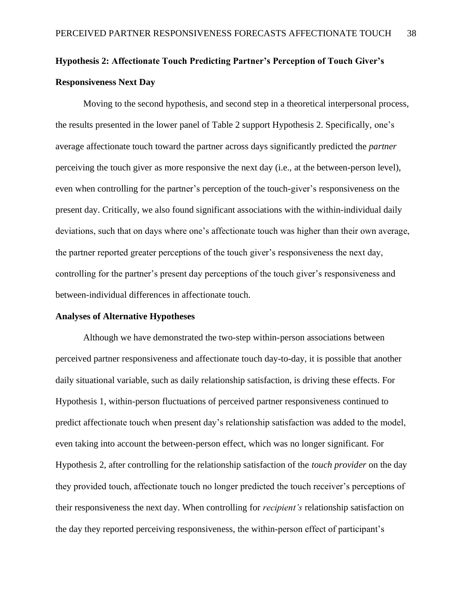# **Hypothesis 2: Affectionate Touch Predicting Partner's Perception of Touch Giver's Responsiveness Next Day**

Moving to the second hypothesis, and second step in a theoretical interpersonal process, the results presented in the lower panel of Table 2 support Hypothesis 2. Specifically, one's average affectionate touch toward the partner across days significantly predicted the *partner* perceiving the touch giver as more responsive the next day (i.e., at the between-person level), even when controlling for the partner's perception of the touch-giver's responsiveness on the present day. Critically, we also found significant associations with the within-individual daily deviations, such that on days where one's affectionate touch was higher than their own average, the partner reported greater perceptions of the touch giver's responsiveness the next day, controlling for the partner's present day perceptions of the touch giver's responsiveness and between-individual differences in affectionate touch.

### **Analyses of Alternative Hypotheses**

Although we have demonstrated the two-step within-person associations between perceived partner responsiveness and affectionate touch day-to-day, it is possible that another daily situational variable, such as daily relationship satisfaction, is driving these effects. For Hypothesis 1, within-person fluctuations of perceived partner responsiveness continued to predict affectionate touch when present day's relationship satisfaction was added to the model, even taking into account the between-person effect, which was no longer significant. For Hypothesis 2, after controlling for the relationship satisfaction of the *touch provider* on the day they provided touch, affectionate touch no longer predicted the touch receiver's perceptions of their responsiveness the next day. When controlling for *recipient's* relationship satisfaction on the day they reported perceiving responsiveness, the within-person effect of participant's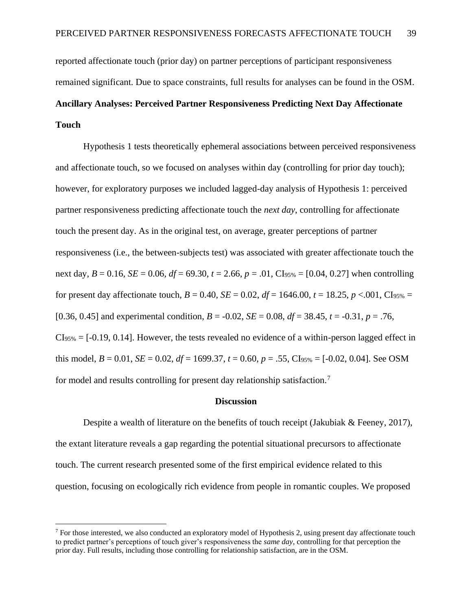reported affectionate touch (prior day) on partner perceptions of participant responsiveness remained significant. Due to space constraints, full results for analyses can be found in the OSM. **Ancillary Analyses: Perceived Partner Responsiveness Predicting Next Day Affectionate Touch**

Hypothesis 1 tests theoretically ephemeral associations between perceived responsiveness and affectionate touch, so we focused on analyses within day (controlling for prior day touch); however, for exploratory purposes we included lagged-day analysis of Hypothesis 1: perceived partner responsiveness predicting affectionate touch the *next day*, controlling for affectionate touch the present day. As in the original test, on average, greater perceptions of partner responsiveness (i.e., the between-subjects test) was associated with greater affectionate touch the next day,  $B = 0.16$ ,  $SE = 0.06$ ,  $df = 69.30$ ,  $t = 2.66$ ,  $p = .01$ , CI<sub>95%</sub> = [0.04, 0.27] when controlling for present day affectionate touch,  $B = 0.40$ ,  $SE = 0.02$ ,  $df = 1646.00$ ,  $t = 18.25$ ,  $p < .001$ , Cl<sub>95%</sub> = [0.36, 0.45] and experimental condition,  $B = -0.02$ ,  $SE = 0.08$ ,  $df = 38.45$ ,  $t = -0.31$ ,  $p = .76$ ,  $CIs_{95\%} = [-0.19, 0.14]$ . However, the tests revealed no evidence of a within-person lagged effect in this model,  $B = 0.01$ ,  $SE = 0.02$ ,  $df = 1699.37$ ,  $t = 0.60$ ,  $p = .55$ , CI<sub>95%</sub> = [-0.02, 0.04]. See OSM for model and results controlling for present day relationship satisfaction.<sup>7</sup>

#### **Discussion**

Despite a wealth of literature on the benefits of touch receipt (Jakubiak & Feeney, 2017), the extant literature reveals a gap regarding the potential situational precursors to affectionate touch. The current research presented some of the first empirical evidence related to this question, focusing on ecologically rich evidence from people in romantic couples. We proposed

<sup>7</sup> For those interested, we also conducted an exploratory model of Hypothesis 2, using present day affectionate touch to predict partner's perceptions of touch giver's responsiveness the *same day*, controlling for that perception the prior day. Full results, including those controlling for relationship satisfaction, are in the OSM.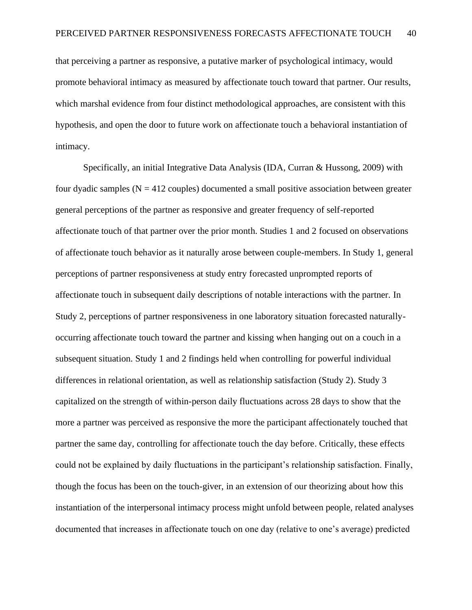that perceiving a partner as responsive, a putative marker of psychological intimacy, would promote behavioral intimacy as measured by affectionate touch toward that partner. Our results, which marshal evidence from four distinct methodological approaches, are consistent with this hypothesis, and open the door to future work on affectionate touch a behavioral instantiation of intimacy.

Specifically, an initial Integrative Data Analysis (IDA, Curran & Hussong, 2009) with four dyadic samples  $(N = 412$  couples) documented a small positive association between greater general perceptions of the partner as responsive and greater frequency of self-reported affectionate touch of that partner over the prior month. Studies 1 and 2 focused on observations of affectionate touch behavior as it naturally arose between couple-members. In Study 1, general perceptions of partner responsiveness at study entry forecasted unprompted reports of affectionate touch in subsequent daily descriptions of notable interactions with the partner. In Study 2, perceptions of partner responsiveness in one laboratory situation forecasted naturallyoccurring affectionate touch toward the partner and kissing when hanging out on a couch in a subsequent situation. Study 1 and 2 findings held when controlling for powerful individual differences in relational orientation, as well as relationship satisfaction (Study 2). Study 3 capitalized on the strength of within-person daily fluctuations across 28 days to show that the more a partner was perceived as responsive the more the participant affectionately touched that partner the same day, controlling for affectionate touch the day before. Critically, these effects could not be explained by daily fluctuations in the participant's relationship satisfaction. Finally, though the focus has been on the touch-giver, in an extension of our theorizing about how this instantiation of the interpersonal intimacy process might unfold between people, related analyses documented that increases in affectionate touch on one day (relative to one's average) predicted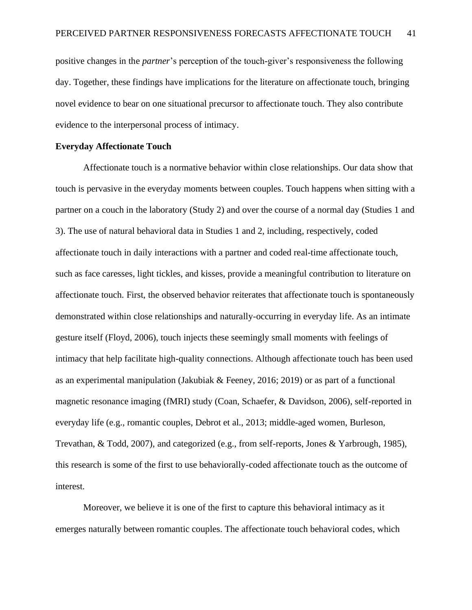positive changes in the *partner*'s perception of the touch-giver's responsiveness the following day. Together, these findings have implications for the literature on affectionate touch, bringing novel evidence to bear on one situational precursor to affectionate touch. They also contribute evidence to the interpersonal process of intimacy.

#### **Everyday Affectionate Touch**

Affectionate touch is a normative behavior within close relationships. Our data show that touch is pervasive in the everyday moments between couples. Touch happens when sitting with a partner on a couch in the laboratory (Study 2) and over the course of a normal day (Studies 1 and 3). The use of natural behavioral data in Studies 1 and 2, including, respectively, coded affectionate touch in daily interactions with a partner and coded real-time affectionate touch, such as face caresses, light tickles, and kisses, provide a meaningful contribution to literature on affectionate touch. First, the observed behavior reiterates that affectionate touch is spontaneously demonstrated within close relationships and naturally-occurring in everyday life. As an intimate gesture itself (Floyd, 2006), touch injects these seemingly small moments with feelings of intimacy that help facilitate high-quality connections. Although affectionate touch has been used as an experimental manipulation (Jakubiak & Feeney, 2016; 2019) or as part of a functional magnetic resonance imaging (fMRI) study (Coan, Schaefer, & Davidson, 2006), self-reported in everyday life (e.g., romantic couples, Debrot et al., 2013; middle-aged women, Burleson, Trevathan, & Todd, 2007), and categorized (e.g., from self-reports, Jones & Yarbrough, 1985), this research is some of the first to use behaviorally-coded affectionate touch as the outcome of interest.

Moreover, we believe it is one of the first to capture this behavioral intimacy as it emerges naturally between romantic couples. The affectionate touch behavioral codes, which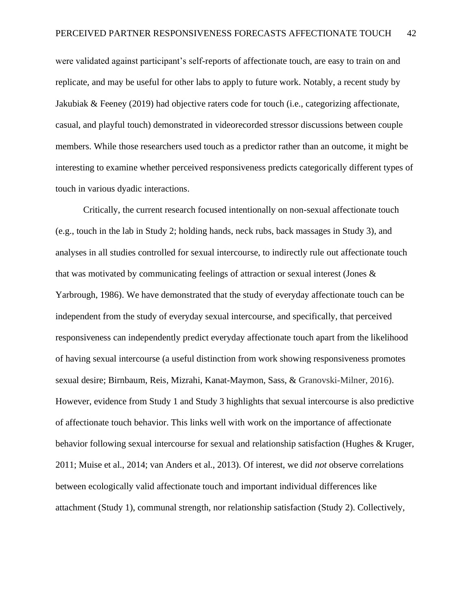were validated against participant's self-reports of affectionate touch, are easy to train on and replicate, and may be useful for other labs to apply to future work. Notably, a recent study by Jakubiak & Feeney (2019) had objective raters code for touch (i.e., categorizing affectionate, casual, and playful touch) demonstrated in videorecorded stressor discussions between couple members. While those researchers used touch as a predictor rather than an outcome, it might be interesting to examine whether perceived responsiveness predicts categorically different types of touch in various dyadic interactions.

Critically, the current research focused intentionally on non-sexual affectionate touch (e.g., touch in the lab in Study 2; holding hands, neck rubs, back massages in Study 3), and analyses in all studies controlled for sexual intercourse, to indirectly rule out affectionate touch that was motivated by communicating feelings of attraction or sexual interest (Jones & Yarbrough, 1986). We have demonstrated that the study of everyday affectionate touch can be independent from the study of everyday sexual intercourse, and specifically, that perceived responsiveness can independently predict everyday affectionate touch apart from the likelihood of having sexual intercourse (a useful distinction from work showing responsiveness promotes sexual desire; Birnbaum, Reis, Mizrahi, Kanat-Maymon, Sass, & Granovski-Milner, 2016). However, evidence from Study 1 and Study 3 highlights that sexual intercourse is also predictive of affectionate touch behavior. This links well with work on the importance of affectionate behavior following sexual intercourse for sexual and relationship satisfaction (Hughes & Kruger, 2011; Muise et al., 2014; van Anders et al., 2013). Of interest, we did *not* observe correlations between ecologically valid affectionate touch and important individual differences like attachment (Study 1), communal strength, nor relationship satisfaction (Study 2). Collectively,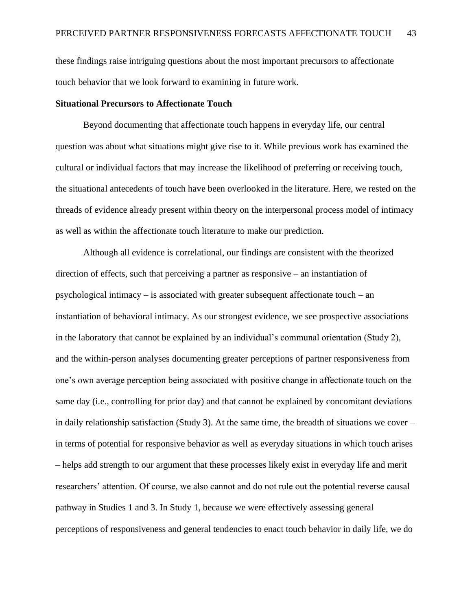these findings raise intriguing questions about the most important precursors to affectionate touch behavior that we look forward to examining in future work.

### **Situational Precursors to Affectionate Touch**

Beyond documenting that affectionate touch happens in everyday life, our central question was about what situations might give rise to it. While previous work has examined the cultural or individual factors that may increase the likelihood of preferring or receiving touch, the situational antecedents of touch have been overlooked in the literature. Here, we rested on the threads of evidence already present within theory on the interpersonal process model of intimacy as well as within the affectionate touch literature to make our prediction.

Although all evidence is correlational, our findings are consistent with the theorized direction of effects, such that perceiving a partner as responsive – an instantiation of psychological intimacy – is associated with greater subsequent affectionate touch – an instantiation of behavioral intimacy. As our strongest evidence, we see prospective associations in the laboratory that cannot be explained by an individual's communal orientation (Study 2), and the within-person analyses documenting greater perceptions of partner responsiveness from one's own average perception being associated with positive change in affectionate touch on the same day (i.e., controlling for prior day) and that cannot be explained by concomitant deviations in daily relationship satisfaction (Study 3). At the same time, the breadth of situations we cover – in terms of potential for responsive behavior as well as everyday situations in which touch arises – helps add strength to our argument that these processes likely exist in everyday life and merit researchers' attention. Of course, we also cannot and do not rule out the potential reverse causal pathway in Studies 1 and 3. In Study 1, because we were effectively assessing general perceptions of responsiveness and general tendencies to enact touch behavior in daily life, we do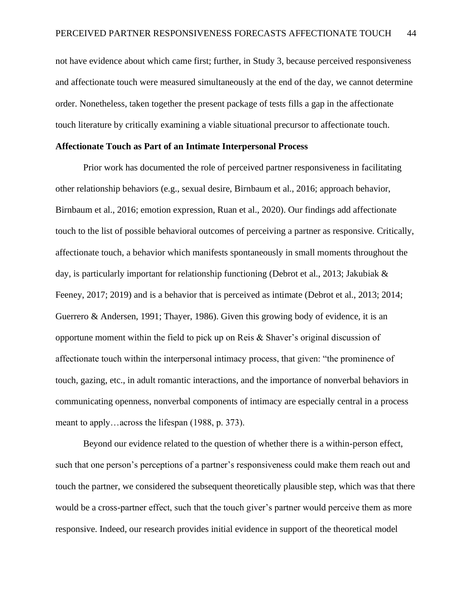not have evidence about which came first; further, in Study 3, because perceived responsiveness and affectionate touch were measured simultaneously at the end of the day, we cannot determine order. Nonetheless, taken together the present package of tests fills a gap in the affectionate touch literature by critically examining a viable situational precursor to affectionate touch.

### **Affectionate Touch as Part of an Intimate Interpersonal Process**

Prior work has documented the role of perceived partner responsiveness in facilitating other relationship behaviors (e.g., sexual desire, Birnbaum et al., 2016; approach behavior, Birnbaum et al., 2016; emotion expression, Ruan et al., 2020). Our findings add affectionate touch to the list of possible behavioral outcomes of perceiving a partner as responsive. Critically, affectionate touch, a behavior which manifests spontaneously in small moments throughout the day, is particularly important for relationship functioning (Debrot et al., 2013; Jakubiak & Feeney, 2017; 2019) and is a behavior that is perceived as intimate (Debrot et al., 2013; 2014; Guerrero & Andersen, 1991; Thayer, 1986). Given this growing body of evidence, it is an opportune moment within the field to pick up on Reis & Shaver's original discussion of affectionate touch within the interpersonal intimacy process, that given: "the prominence of touch, gazing, etc., in adult romantic interactions, and the importance of nonverbal behaviors in communicating openness, nonverbal components of intimacy are especially central in a process meant to apply…across the lifespan (1988, p. 373).

Beyond our evidence related to the question of whether there is a within-person effect, such that one person's perceptions of a partner's responsiveness could make them reach out and touch the partner, we considered the subsequent theoretically plausible step, which was that there would be a cross-partner effect, such that the touch giver's partner would perceive them as more responsive. Indeed, our research provides initial evidence in support of the theoretical model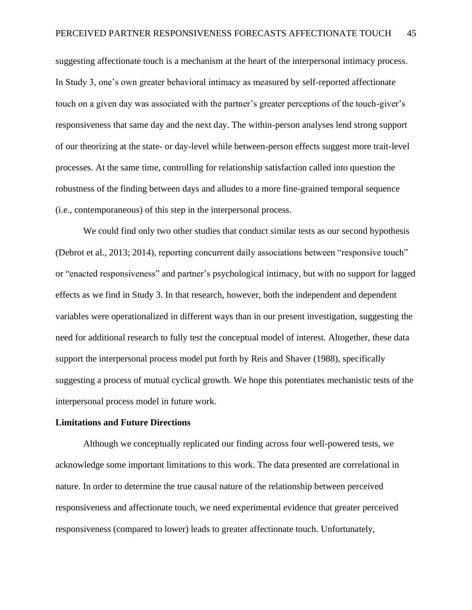suggesting affectionate touch is a mechanism at the heart of the interpersonal intimacy process. In Study 3, one's own greater behavioral intimacy as measured by self-reported affectionate touch on a given day was associated with the partner's greater perceptions of the touch-giver's responsiveness that same day and the next day. The within-person analyses lend strong support of our theorizing at the state- or day-level while between-person effects suggest more trait-level processes. At the same time, controlling for relationship satisfaction called into question the robustness of the finding between days and alludes to a more fine-grained temporal sequence (i.e., contemporaneous) of this step in the interpersonal process.

We could find only two other studies that conduct similar tests as our second hypothesis (Debrot et al., 2013; 2014), reporting concurrent daily associations between "responsive touch" or "enacted responsiveness" and partner's psychological intimacy, but with no support for lagged effects as we find in Study 3. In that research, however, both the independent and dependent variables were operationalized in different ways than in our present investigation, suggesting the need for additional research to fully test the conceptual model of interest. Altogether, these data support the interpersonal process model put forth by Reis and Shaver (1988), specifically suggesting a process of mutual cyclical growth. We hope this potentiates mechanistic tests of the interpersonal process model in future work.

### **Limitations and Future Directions**

Although we conceptually replicated our finding across four well-powered tests, we acknowledge some important limitations to this work. The data presented are correlational in nature. In order to determine the true causal nature of the relationship between perceived responsiveness and affectionate touch, we need experimental evidence that greater perceived responsiveness (compared to lower) leads to greater affectionate touch. Unfortunately,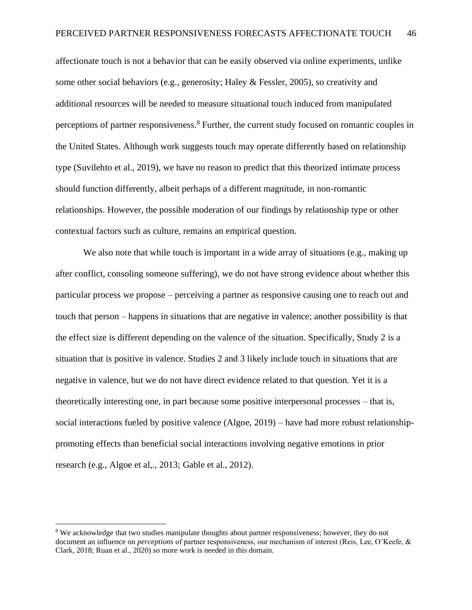affectionate touch is not a behavior that can be easily observed via online experiments, unlike some other social behaviors (e.g., generosity; Haley & Fessler, 2005), so creativity and additional resources will be needed to measure situational touch induced from manipulated perceptions of partner responsiveness.<sup>8</sup> Further, the current study focused on romantic couples in the United States. Although work suggests touch may operate differently based on relationship type (Suvilehto et al., 2019), we have no reason to predict that this theorized intimate process should function differently, albeit perhaps of a different magnitude, in non-romantic relationships. However, the possible moderation of our findings by relationship type or other contextual factors such as culture, remains an empirical question.

We also note that while touch is important in a wide array of situations (e.g., making up after conflict, consoling someone suffering), we do not have strong evidence about whether this particular process we propose – perceiving a partner as responsive causing one to reach out and touch that person – happens in situations that are negative in valence; another possibility is that the effect size is different depending on the valence of the situation. Specifically, Study 2 is a situation that is positive in valence. Studies 2 and 3 likely include touch in situations that are negative in valence, but we do not have direct evidence related to that question. Yet it is a theoretically interesting one, in part because some positive interpersonal processes – that is, social interactions fueled by positive valence (Algoe, 2019) – have had more robust relationshippromoting effects than beneficial social interactions involving negative emotions in prior research (e.g., Algoe et al,., 2013; Gable et al., 2012).

<sup>&</sup>lt;sup>8</sup> We acknowledge that two studies manipulate thoughts about partner responsiveness; however, they do not document an influence on *perceptions* of partner responsiveness, our mechanism of interest (Reis, Lee, O'Keefe, & Clark, 2018; Ruan et al., 2020) so more work is needed in this domain.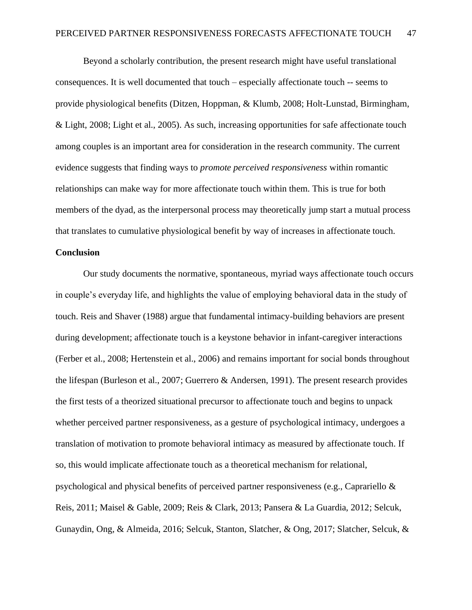Beyond a scholarly contribution, the present research might have useful translational consequences. It is well documented that touch – especially affectionate touch -- seems to provide physiological benefits (Ditzen, Hoppman, & Klumb, 2008; Holt-Lunstad, Birmingham, & Light, 2008; Light et al., 2005). As such, increasing opportunities for safe affectionate touch among couples is an important area for consideration in the research community. The current evidence suggests that finding ways to *promote perceived responsiveness* within romantic relationships can make way for more affectionate touch within them. This is true for both members of the dyad, as the interpersonal process may theoretically jump start a mutual process that translates to cumulative physiological benefit by way of increases in affectionate touch.

### **Conclusion**

Our study documents the normative, spontaneous, myriad ways affectionate touch occurs in couple's everyday life, and highlights the value of employing behavioral data in the study of touch. Reis and Shaver (1988) argue that fundamental intimacy-building behaviors are present during development; affectionate touch is a keystone behavior in infant-caregiver interactions (Ferber et al., 2008; Hertenstein et al., 2006) and remains important for social bonds throughout the lifespan (Burleson et al., 2007; Guerrero & Andersen, 1991). The present research provides the first tests of a theorized situational precursor to affectionate touch and begins to unpack whether perceived partner responsiveness, as a gesture of psychological intimacy, undergoes a translation of motivation to promote behavioral intimacy as measured by affectionate touch. If so, this would implicate affectionate touch as a theoretical mechanism for relational, psychological and physical benefits of perceived partner responsiveness (e.g., Caprariello & Reis, 2011; Maisel & Gable, 2009; Reis & Clark, 2013; Pansera & La Guardia, 2012; Selcuk, Gunaydin, Ong, & Almeida, 2016; Selcuk, Stanton, Slatcher, & Ong, 2017; Slatcher, Selcuk, &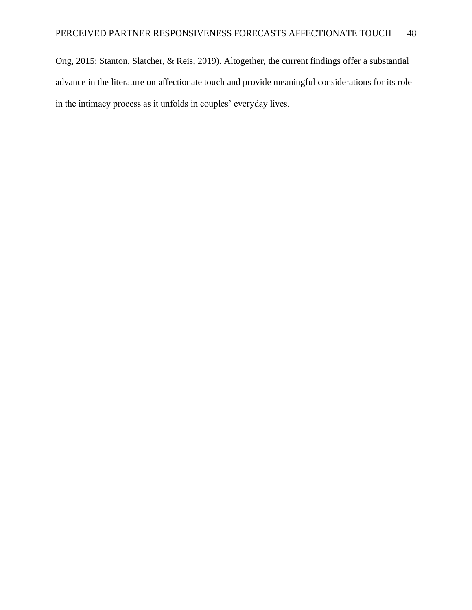Ong, 2015; Stanton, Slatcher, & Reis, 2019). Altogether, the current findings offer a substantial advance in the literature on affectionate touch and provide meaningful considerations for its role in the intimacy process as it unfolds in couples' everyday lives.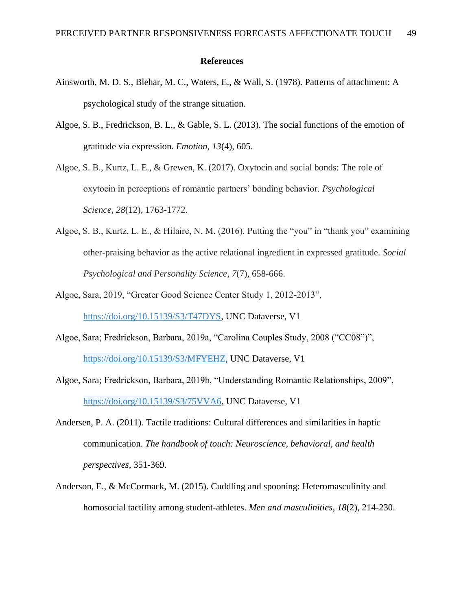### **References**

- Ainsworth, M. D. S., Blehar, M. C., Waters, E., & Wall, S. (1978). Patterns of attachment: A psychological study of the strange situation.
- Algoe, S. B., Fredrickson, B. L., & Gable, S. L. (2013). The social functions of the emotion of gratitude via expression. *Emotion*, *13*(4), 605.
- Algoe, S. B., Kurtz, L. E., & Grewen, K. (2017). Oxytocin and social bonds: The role of oxytocin in perceptions of romantic partners' bonding behavior. *Psychological Science*, *28*(12), 1763-1772.
- Algoe, S. B., Kurtz, L. E., & Hilaire, N. M. (2016). Putting the "you" in "thank you" examining other-praising behavior as the active relational ingredient in expressed gratitude. *Social Psychological and Personality Science*, *7*(7), 658-666.
- Algoe, Sara, 2019, "Greater Good Science Center Study 1, 2012-2013", [https://doi.org/10.15139/S3/T47DYS,](https://doi.org/10.15139/S3/T47DYS) UNC Dataverse, V1
- Algoe, Sara; Fredrickson, Barbara, 2019a, "Carolina Couples Study, 2008 ("CC08")", [https://doi.org/10.15139/S3/MFYEHZ,](https://doi.org/10.15139/S3/MFYEHZ) UNC Dataverse, V1
- Algoe, Sara; Fredrickson, Barbara, 2019b, "Understanding Romantic Relationships, 2009", [https://doi.org/10.15139/S3/75VVA6,](https://doi.org/10.15139/S3/75VVA6) UNC Dataverse, V1
- Andersen, P. A. (2011). Tactile traditions: Cultural differences and similarities in haptic communication. *The handbook of touch: Neuroscience, behavioral, and health perspectives*, 351-369.
- Anderson, E., & McCormack, M. (2015). Cuddling and spooning: Heteromasculinity and homosocial tactility among student-athletes. *Men and masculinities*, *18*(2), 214-230.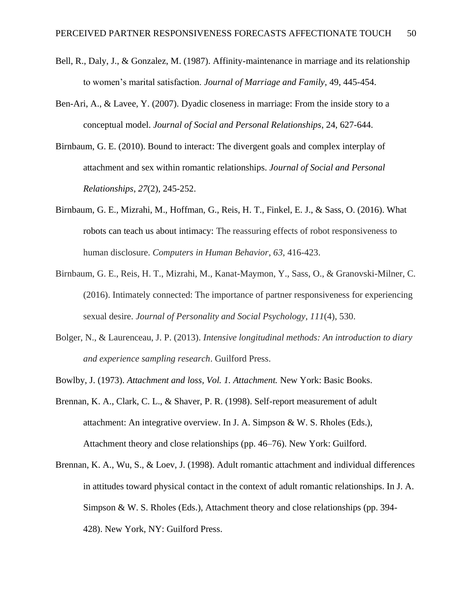- Bell, R., Daly, J., & Gonzalez, M. (1987). Affinity-maintenance in marriage and its relationship to women's marital satisfaction. *Journal of Marriage and Family*, 49, 445-454.
- Ben-Ari, A., & Lavee, Y. (2007). Dyadic closeness in marriage: From the inside story to a conceptual model. *Journal of Social and Personal Relationships*, 24, 627-644.
- Birnbaum, G. E. (2010). Bound to interact: The divergent goals and complex interplay of attachment and sex within romantic relationships. *Journal of Social and Personal Relationships*, *27*(2), 245-252.
- Birnbaum, G. E., Mizrahi, M., Hoffman, G., Reis, H. T., Finkel, E. J., & Sass, O. (2016). What robots can teach us about intimacy: The reassuring effects of robot responsiveness to human disclosure. *Computers in Human Behavior*, *63*, 416-423.
- Birnbaum, G. E., Reis, H. T., Mizrahi, M., Kanat-Maymon, Y., Sass, O., & Granovski-Milner, C. (2016). Intimately connected: The importance of partner responsiveness for experiencing sexual desire. *Journal of Personality and Social Psychology*, *111*(4), 530.
- Bolger, N., & Laurenceau, J. P. (2013). *Intensive longitudinal methods: An introduction to diary and experience sampling research*. Guilford Press.
- Bowlby, J. (1973). *Attachment and loss, Vol. 1. Attachment.* New York: Basic Books.
- Brennan, K. A., Clark, C. L., & Shaver, P. R. (1998). Self-report measurement of adult attachment: An integrative overview. In J. A. Simpson & W. S. Rholes (Eds.), Attachment theory and close relationships (pp. 46–76). New York: Guilford.
- Brennan, K. A., Wu, S., & Loev, J. (1998). Adult romantic attachment and individual differences in attitudes toward physical contact in the context of adult romantic relationships. In J. A. Simpson & W. S. Rholes (Eds.), Attachment theory and close relationships (pp. 394- 428). New York, NY: Guilford Press.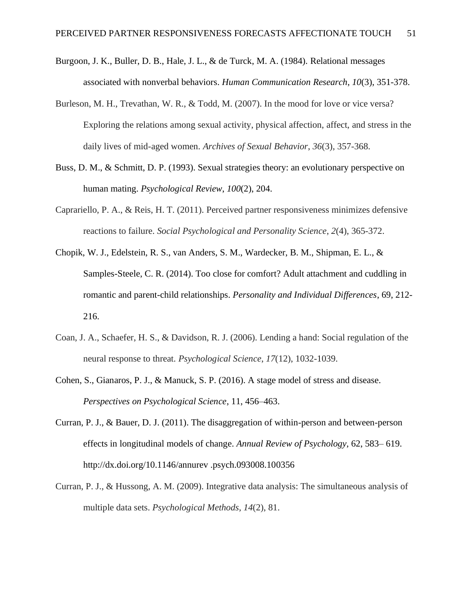- Burgoon, J. K., Buller, D. B., Hale, J. L., & de Turck, M. A. (1984). Relational messages associated with nonverbal behaviors. *Human Communication Research*, *10*(3), 351-378.
- Burleson, M. H., Trevathan, W. R., & Todd, M. (2007). In the mood for love or vice versa? Exploring the relations among sexual activity, physical affection, affect, and stress in the daily lives of mid-aged women. *Archives of Sexual Behavior*, *36*(3), 357-368.
- Buss, D. M., & Schmitt, D. P. (1993). Sexual strategies theory: an evolutionary perspective on human mating. *Psychological Review*, *100*(2), 204.
- Caprariello, P. A., & Reis, H. T. (2011). Perceived partner responsiveness minimizes defensive reactions to failure. *Social Psychological and Personality Science*, *2*(4), 365-372.
- Chopik, W. J., Edelstein, R. S., van Anders, S. M., Wardecker, B. M., Shipman, E. L., & Samples-Steele, C. R. (2014). Too close for comfort? Adult attachment and cuddling in romantic and parent-child relationships. *Personality and Individual Differences*, 69, 212- 216.
- Coan, J. A., Schaefer, H. S., & Davidson, R. J. (2006). Lending a hand: Social regulation of the neural response to threat. *Psychological Science*, *17*(12), 1032-1039.
- Cohen, S., Gianaros, P. J., & Manuck, S. P. (2016). A stage model of stress and disease. *Perspectives on Psychological Science*, 11, 456–463.
- Curran, P. J., & Bauer, D. J. (2011). The disaggregation of within-person and between-person effects in longitudinal models of change. *Annual Review of Psychology*, 62, 583– 619. http://dx.doi.org/10.1146/annurev .psych.093008.100356
- Curran, P. J., & Hussong, A. M. (2009). Integrative data analysis: The simultaneous analysis of multiple data sets. *Psychological Methods*, *14*(2), 81.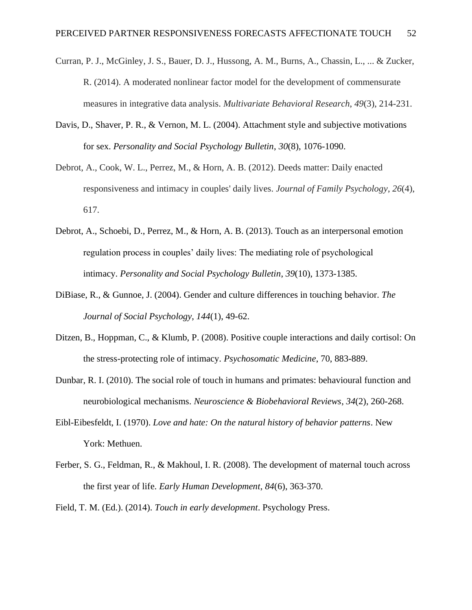- Curran, P. J., McGinley, J. S., Bauer, D. J., Hussong, A. M., Burns, A., Chassin, L., ... & Zucker, R. (2014). A moderated nonlinear factor model for the development of commensurate measures in integrative data analysis. *Multivariate Behavioral Research*, *49*(3), 214-231.
- Davis, D., Shaver, P. R., & Vernon, M. L. (2004). Attachment style and subjective motivations for sex. *Personality and Social Psychology Bulletin*, *30*(8), 1076-1090.
- Debrot, A., Cook, W. L., Perrez, M., & Horn, A. B. (2012). Deeds matter: Daily enacted responsiveness and intimacy in couples' daily lives. *Journal of Family Psychology*, *26*(4), 617.
- Debrot, A., Schoebi, D., Perrez, M., & Horn, A. B. (2013). Touch as an interpersonal emotion regulation process in couples' daily lives: The mediating role of psychological intimacy. *Personality and Social Psychology Bulletin*, *39*(10), 1373-1385.
- DiBiase, R., & Gunnoe, J. (2004). Gender and culture differences in touching behavior. *The Journal of Social Psychology*, *144*(1), 49-62.
- Ditzen, B., Hoppman, C., & Klumb, P. (2008). Positive couple interactions and daily cortisol: On the stress-protecting role of intimacy. *Psychosomatic Medicine*, 70, 883-889.
- Dunbar, R. I. (2010). The social role of touch in humans and primates: behavioural function and neurobiological mechanisms. *Neuroscience & Biobehavioral Reviews*, *34*(2), 260-268.
- Eibl-Eibesfeldt, I. (1970). *Love and hate: On the natural history of behavior patterns*. New York: Methuen.
- Ferber, S. G., Feldman, R., & Makhoul, I. R. (2008). The development of maternal touch across the first year of life. *Early Human Development*, *84*(6), 363-370.

Field, T. M. (Ed.). (2014). *Touch in early development*. Psychology Press.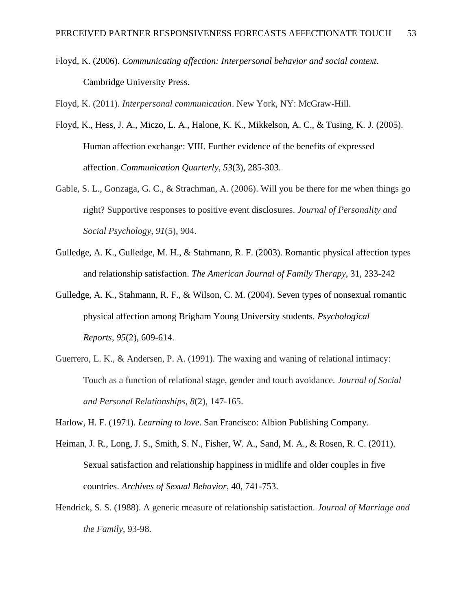Floyd, K. (2006). *Communicating affection: Interpersonal behavior and social context*. Cambridge University Press.

Floyd, K. (2011). *Interpersonal communication*. New York, NY: McGraw-Hill.

- Floyd, K., Hess, J. A., Miczo, L. A., Halone, K. K., Mikkelson, A. C., & Tusing, K. J. (2005). Human affection exchange: VIII. Further evidence of the benefits of expressed affection. *Communication Quarterly*, *53*(3), 285-303.
- Gable, S. L., Gonzaga, G. C., & Strachman, A. (2006). Will you be there for me when things go right? Supportive responses to positive event disclosures. *Journal of Personality and Social Psychology*, *91*(5), 904.
- Gulledge, A. K., Gulledge, M. H., & Stahmann, R. F. (2003). Romantic physical affection types and relationship satisfaction. *The American Journal of Family Therapy*, 31, 233-242
- Gulledge, A. K., Stahmann, R. F., & Wilson, C. M. (2004). Seven types of nonsexual romantic physical affection among Brigham Young University students. *Psychological Reports*, *95*(2), 609-614.
- Guerrero, L. K., & Andersen, P. A. (1991). The waxing and waning of relational intimacy: Touch as a function of relational stage, gender and touch avoidance. *Journal of Social and Personal Relationships*, *8*(2), 147-165.

Harlow, H. F. (1971). *Learning to love*. San Francisco: Albion Publishing Company.

- Heiman, J. R., Long, J. S., Smith, S. N., Fisher, W. A., Sand, M. A., & Rosen, R. C. (2011). Sexual satisfaction and relationship happiness in midlife and older couples in five countries. *Archives of Sexual Behavior*, 40, 741-753.
- Hendrick, S. S. (1988). A generic measure of relationship satisfaction. *Journal of Marriage and the Family*, 93-98.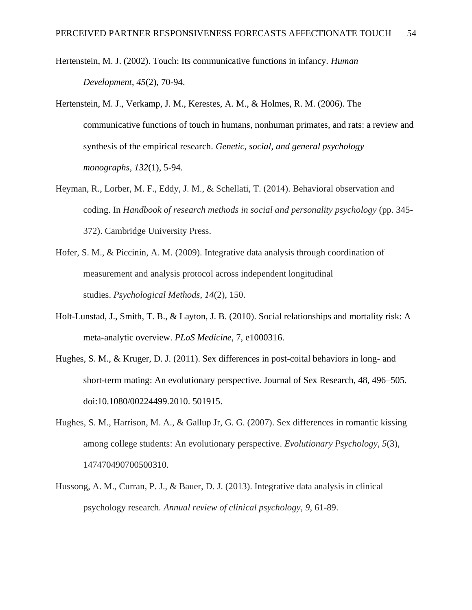- Hertenstein, M. J. (2002). Touch: Its communicative functions in infancy. *Human Development*, *45*(2), 70-94.
- Hertenstein, M. J., Verkamp, J. M., Kerestes, A. M., & Holmes, R. M. (2006). The communicative functions of touch in humans, nonhuman primates, and rats: a review and synthesis of the empirical research. *Genetic, social, and general psychology monographs*, *132*(1), 5-94.
- Heyman, R., Lorber, M. F., Eddy, J. M., & Schellati, T. (2014). Behavioral observation and coding. In *Handbook of research methods in social and personality psychology* (pp. 345- 372). Cambridge University Press.
- Hofer, S. M., & Piccinin, A. M. (2009). Integrative data analysis through coordination of measurement and analysis protocol across independent longitudinal studies. *Psychological Methods*, *14*(2), 150.
- Holt-Lunstad, J., Smith, T. B., & Layton, J. B. (2010). Social relationships and mortality risk: A meta-analytic overview. *PLoS Medicine*, 7, e1000316.
- Hughes, S. M., & Kruger, D. J. (2011). Sex differences in post-coital behaviors in long- and short-term mating: An evolutionary perspective. Journal of Sex Research, 48, 496–505. doi:10.1080/00224499.2010. 501915.
- Hughes, S. M., Harrison, M. A., & Gallup Jr, G. G. (2007). Sex differences in romantic kissing among college students: An evolutionary perspective. *Evolutionary Psychology*, *5*(3), 147470490700500310.
- Hussong, A. M., Curran, P. J., & Bauer, D. J. (2013). Integrative data analysis in clinical psychology research. *Annual review of clinical psychology*, *9*, 61-89.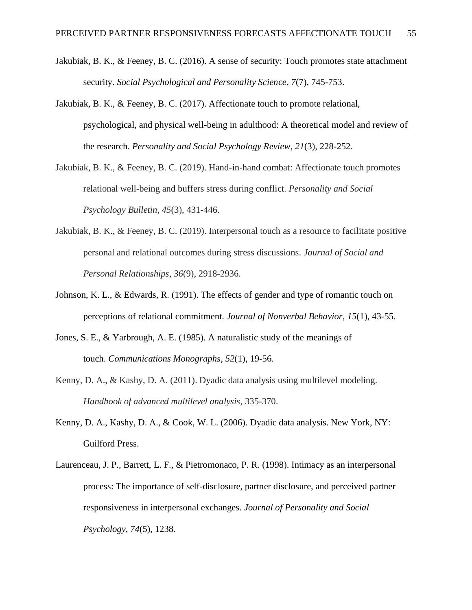- Jakubiak, B. K., & Feeney, B. C. (2016). A sense of security: Touch promotes state attachment security. *Social Psychological and Personality Science*, *7*(7), 745-753.
- Jakubiak, B. K., & Feeney, B. C. (2017). Affectionate touch to promote relational, psychological, and physical well-being in adulthood: A theoretical model and review of the research. *Personality and Social Psychology Review*, *21*(3), 228-252.
- Jakubiak, B. K., & Feeney, B. C. (2019). Hand-in-hand combat: Affectionate touch promotes relational well-being and buffers stress during conflict. *Personality and Social Psychology Bulletin*, *45*(3), 431-446.
- Jakubiak, B. K., & Feeney, B. C. (2019). Interpersonal touch as a resource to facilitate positive personal and relational outcomes during stress discussions. *Journal of Social and Personal Relationships*, *36*(9), 2918-2936.
- Johnson, K. L., & Edwards, R. (1991). The effects of gender and type of romantic touch on perceptions of relational commitment. *Journal of Nonverbal Behavior*, *15*(1), 43-55.
- Jones, S. E., & Yarbrough, A. E. (1985). A naturalistic study of the meanings of touch. *Communications Monographs*, *52*(1), 19-56.
- Kenny, D. A., & Kashy, D. A. (2011). Dyadic data analysis using multilevel modeling. *Handbook of advanced multilevel analysis*, 335-370.
- Kenny, D. A., Kashy, D. A., & Cook, W. L. (2006). Dyadic data analysis. New York, NY: Guilford Press.
- Laurenceau, J. P., Barrett, L. F., & Pietromonaco, P. R. (1998). Intimacy as an interpersonal process: The importance of self-disclosure, partner disclosure, and perceived partner responsiveness in interpersonal exchanges. *Journal of Personality and Social Psychology*, *74*(5), 1238.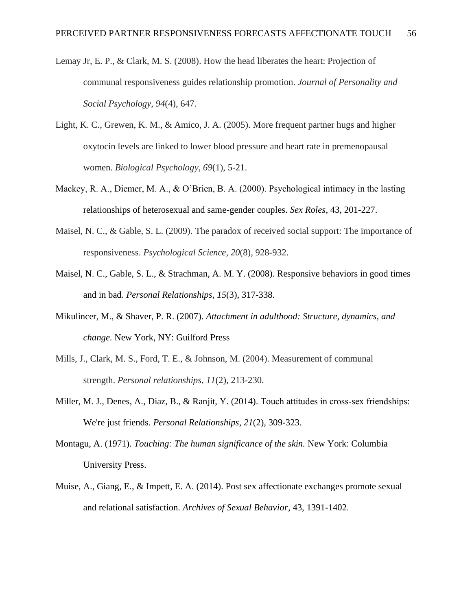- Lemay Jr, E. P., & Clark, M. S. (2008). How the head liberates the heart: Projection of communal responsiveness guides relationship promotion. *Journal of Personality and Social Psychology*, *94*(4), 647.
- Light, K. C., Grewen, K. M., & Amico, J. A. (2005). More frequent partner hugs and higher oxytocin levels are linked to lower blood pressure and heart rate in premenopausal women. *Biological Psychology*, *69*(1), 5-21.
- Mackey, R. A., Diemer, M. A., & O'Brien, B. A. (2000). Psychological intimacy in the lasting relationships of heterosexual and same-gender couples. *Sex Roles*, 43, 201-227.
- Maisel, N. C., & Gable, S. L. (2009). The paradox of received social support: The importance of responsiveness. *Psychological Science*, *20*(8), 928-932.
- Maisel, N. C., Gable, S. L., & Strachman, A. M. Y. (2008). Responsive behaviors in good times and in bad. *Personal Relationships*, *15*(3), 317-338.
- Mikulincer, M., & Shaver, P. R. (2007). *Attachment in adulthood: Structure, dynamics, and change*. New York, NY: Guilford Press
- Mills, J., Clark, M. S., Ford, T. E., & Johnson, M. (2004). Measurement of communal strength. *Personal relationships*, *11*(2), 213-230.
- Miller, M. J., Denes, A., Diaz, B., & Ranjit, Y. (2014). Touch attitudes in cross-sex friendships: We're just friends. *Personal Relationships*, *21*(2), 309-323.
- Montagu, A. (1971). *Touching: The human significance of the skin.* New York: Columbia University Press.
- Muise, A., Giang, E., & Impett, E. A. (2014). Post sex affectionate exchanges promote sexual and relational satisfaction. *Archives of Sexual Behavior*, 43, 1391-1402.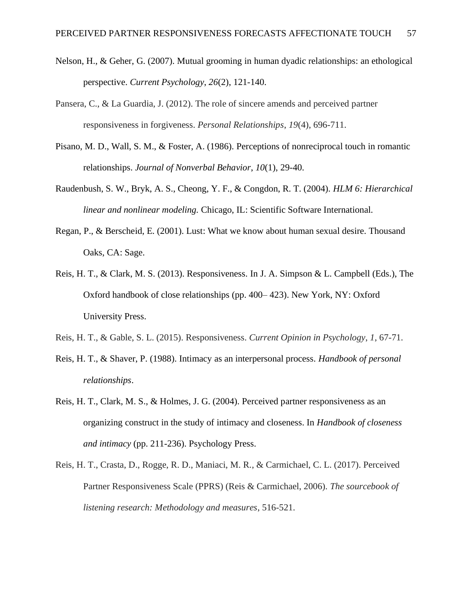- Nelson, H., & Geher, G. (2007). Mutual grooming in human dyadic relationships: an ethological perspective. *Current Psychology*, *26*(2), 121-140.
- Pansera, C., & La Guardia, J. (2012). The role of sincere amends and perceived partner responsiveness in forgiveness. *Personal Relationships*, *19*(4), 696-711.
- Pisano, M. D., Wall, S. M., & Foster, A. (1986). Perceptions of nonreciprocal touch in romantic relationships. *Journal of Nonverbal Behavior*, *10*(1), 29-40.
- Raudenbush, S. W., Bryk, A. S., Cheong, Y. F., & Congdon, R. T. (2004). *HLM 6: Hierarchical linear and nonlinear modeling.* Chicago, IL: Scientific Software International.
- Regan, P., & Berscheid, E. (2001). Lust: What we know about human sexual desire. Thousand Oaks, CA: Sage.
- Reis, H. T., & Clark, M. S. (2013). Responsiveness. In J. A. Simpson & L. Campbell (Eds.), The Oxford handbook of close relationships (pp. 400– 423). New York, NY: Oxford University Press.
- Reis, H. T., & Gable, S. L. (2015). Responsiveness. *Current Opinion in Psychology*, *1*, 67-71.
- Reis, H. T., & Shaver, P. (1988). Intimacy as an interpersonal process. *Handbook of personal relationships*.
- Reis, H. T., Clark, M. S., & Holmes, J. G. (2004). Perceived partner responsiveness as an organizing construct in the study of intimacy and closeness. In *Handbook of closeness and intimacy* (pp. 211-236). Psychology Press.
- Reis, H. T., Crasta, D., Rogge, R. D., Maniaci, M. R., & Carmichael, C. L. (2017). Perceived Partner Responsiveness Scale (PPRS) (Reis & Carmichael, 2006). *The sourcebook of listening research: Methodology and measures*, 516-521.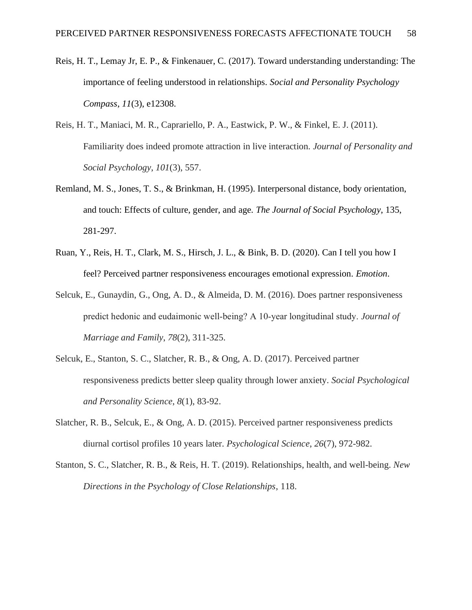- Reis, H. T., Lemay Jr, E. P., & Finkenauer, C. (2017). Toward understanding understanding: The importance of feeling understood in relationships. *Social and Personality Psychology Compass*, *11*(3), e12308.
- Reis, H. T., Maniaci, M. R., Caprariello, P. A., Eastwick, P. W., & Finkel, E. J. (2011). Familiarity does indeed promote attraction in live interaction. *Journal of Personality and Social Psychology*, *101*(3), 557.
- Remland, M. S., Jones, T. S., & Brinkman, H. (1995). Interpersonal distance, body orientation, and touch: Effects of culture, gender, and age*. The Journal of Social Psychology*, 135, 281-297.
- Ruan, Y., Reis, H. T., Clark, M. S., Hirsch, J. L., & Bink, B. D. (2020). Can I tell you how I feel? Perceived partner responsiveness encourages emotional expression. *Emotion*.
- Selcuk, E., Gunaydin, G., Ong, A. D., & Almeida, D. M. (2016). Does partner responsiveness predict hedonic and eudaimonic well‐being? A 10‐year longitudinal study. *Journal of Marriage and Family*, *78*(2), 311-325.
- Selcuk, E., Stanton, S. C., Slatcher, R. B., & Ong, A. D. (2017). Perceived partner responsiveness predicts better sleep quality through lower anxiety. *Social Psychological and Personality Science*, *8*(1), 83-92.
- Slatcher, R. B., Selcuk, E., & Ong, A. D. (2015). Perceived partner responsiveness predicts diurnal cortisol profiles 10 years later. *Psychological Science*, *26*(7), 972-982.
- Stanton, S. C., Slatcher, R. B., & Reis, H. T. (2019). Relationships, health, and well-being. *New Directions in the Psychology of Close Relationships*, 118.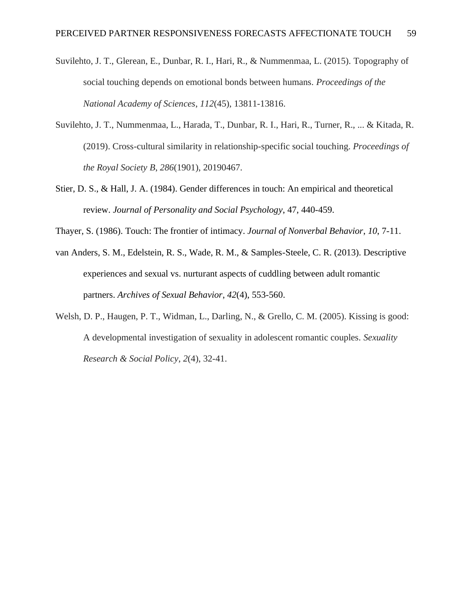- Suvilehto, J. T., Glerean, E., Dunbar, R. I., Hari, R., & Nummenmaa, L. (2015). Topography of social touching depends on emotional bonds between humans. *Proceedings of the National Academy of Sciences*, *112*(45), 13811-13816.
- Suvilehto, J. T., Nummenmaa, L., Harada, T., Dunbar, R. I., Hari, R., Turner, R., ... & Kitada, R. (2019). Cross-cultural similarity in relationship-specific social touching. *Proceedings of the Royal Society B*, *286*(1901), 20190467.
- Stier, D. S., & Hall, J. A. (1984). Gender differences in touch: An empirical and theoretical review. *Journal of Personality and Social Psychology*, 47, 440-459.
- Thayer, S. (1986). Touch: The frontier of intimacy. *Journal of Nonverbal Behavior*, *10*, 7-11.
- van Anders, S. M., Edelstein, R. S., Wade, R. M., & Samples-Steele, C. R. (2013). Descriptive experiences and sexual vs. nurturant aspects of cuddling between adult romantic partners. *Archives of Sexual Behavior*, *42*(4), 553-560.
- Welsh, D. P., Haugen, P. T., Widman, L., Darling, N., & Grello, C. M. (2005). Kissing is good: A developmental investigation of sexuality in adolescent romantic couples. *Sexuality Research & Social Policy*, *2*(4), 32-41.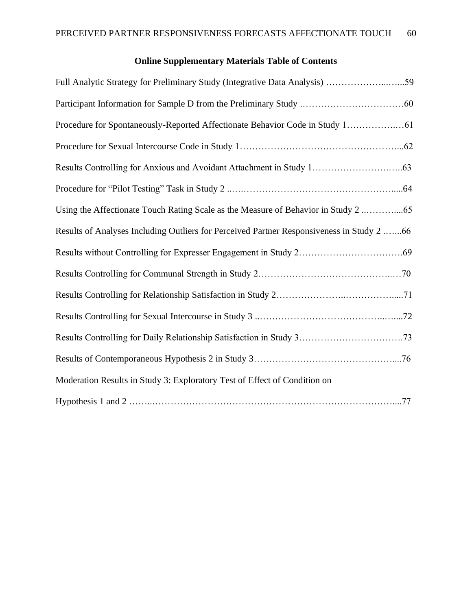# **Online Supplementary Materials Table of Contents**

| Full Analytic Strategy for Preliminary Study (Integrative Data Analysis) 59               |
|-------------------------------------------------------------------------------------------|
|                                                                                           |
| Procedure for Spontaneously-Reported Affectionate Behavior Code in Study 1 61             |
|                                                                                           |
|                                                                                           |
|                                                                                           |
| Using the Affectionate Touch Rating Scale as the Measure of Behavior in Study 2           |
| Results of Analyses Including Outliers for Perceived Partner Responsiveness in Study 2 66 |
|                                                                                           |
|                                                                                           |
|                                                                                           |
|                                                                                           |
|                                                                                           |
|                                                                                           |
| Moderation Results in Study 3: Exploratory Test of Effect of Condition on                 |
|                                                                                           |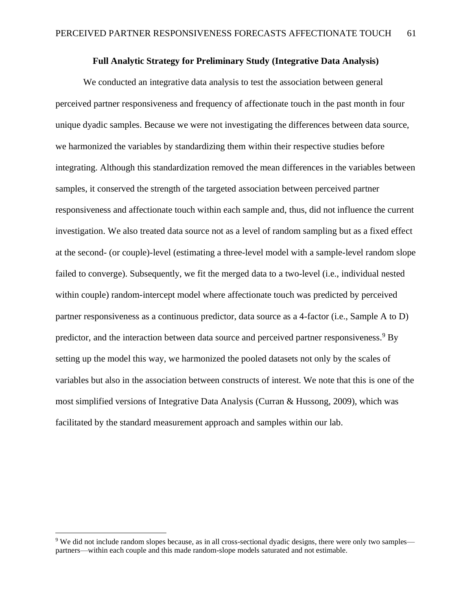### **Full Analytic Strategy for Preliminary Study (Integrative Data Analysis)**

We conducted an integrative data analysis to test the association between general perceived partner responsiveness and frequency of affectionate touch in the past month in four unique dyadic samples. Because we were not investigating the differences between data source, we harmonized the variables by standardizing them within their respective studies before integrating. Although this standardization removed the mean differences in the variables between samples, it conserved the strength of the targeted association between perceived partner responsiveness and affectionate touch within each sample and, thus, did not influence the current investigation. We also treated data source not as a level of random sampling but as a fixed effect at the second- (or couple)-level (estimating a three-level model with a sample-level random slope failed to converge). Subsequently, we fit the merged data to a two-level (i.e., individual nested within couple) random-intercept model where affectionate touch was predicted by perceived partner responsiveness as a continuous predictor, data source as a 4-factor (i.e., Sample A to D) predictor, and the interaction between data source and perceived partner responsiveness.<sup>9</sup> By setting up the model this way, we harmonized the pooled datasets not only by the scales of variables but also in the association between constructs of interest. We note that this is one of the most simplified versions of Integrative Data Analysis (Curran & Hussong, 2009), which was facilitated by the standard measurement approach and samples within our lab.

<sup>&</sup>lt;sup>9</sup> We did not include random slopes because, as in all cross-sectional dyadic designs, there were only two samples partners—within each couple and this made random-slope models saturated and not estimable.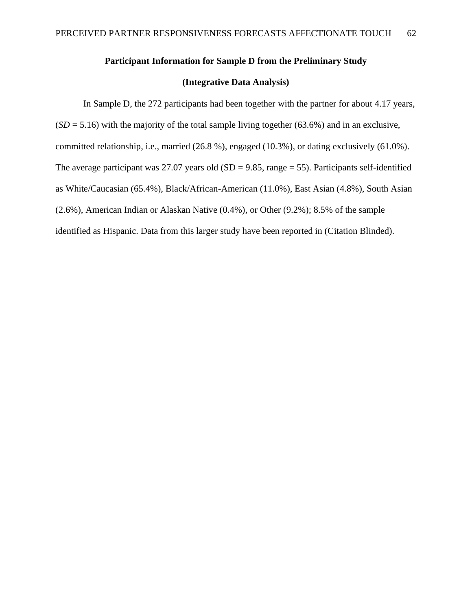# **Participant Information for Sample D from the Preliminary Study**

# **(Integrative Data Analysis)**

In Sample D, the 272 participants had been together with the partner for about 4.17 years,  $(SD = 5.16)$  with the majority of the total sample living together (63.6%) and in an exclusive, committed relationship, i.e., married (26.8 %), engaged (10.3%), or dating exclusively (61.0%). The average participant was 27.07 years old  $(SD = 9.85, \text{range} = 55)$ . Participants self-identified as White/Caucasian (65.4%), Black/African-American (11.0%), East Asian (4.8%), South Asian (2.6%), American Indian or Alaskan Native (0.4%), or Other (9.2%); 8.5% of the sample identified as Hispanic. Data from this larger study have been reported in (Citation Blinded).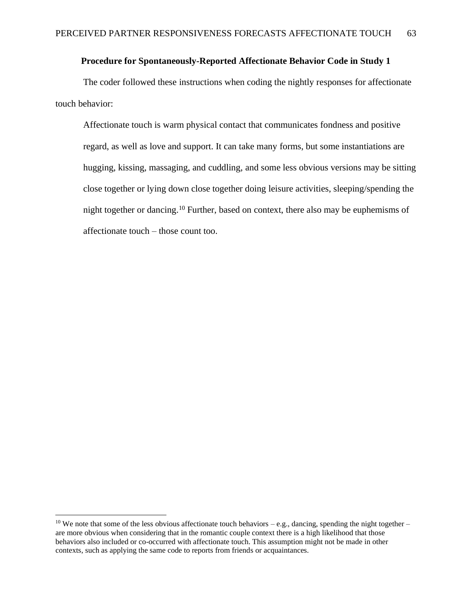# **Procedure for Spontaneously-Reported Affectionate Behavior Code in Study 1**

The coder followed these instructions when coding the nightly responses for affectionate touch behavior:

Affectionate touch is warm physical contact that communicates fondness and positive regard, as well as love and support. It can take many forms, but some instantiations are hugging, kissing, massaging, and cuddling, and some less obvious versions may be sitting close together or lying down close together doing leisure activities, sleeping/spending the night together or dancing.<sup>10</sup> Further, based on context, there also may be euphemisms of affectionate touch – those count too.

<sup>&</sup>lt;sup>10</sup> We note that some of the less obvious affectionate touch behaviors – e.g., dancing, spending the night together – are more obvious when considering that in the romantic couple context there is a high likelihood that those behaviors also included or co-occurred with affectionate touch. This assumption might not be made in other contexts, such as applying the same code to reports from friends or acquaintances.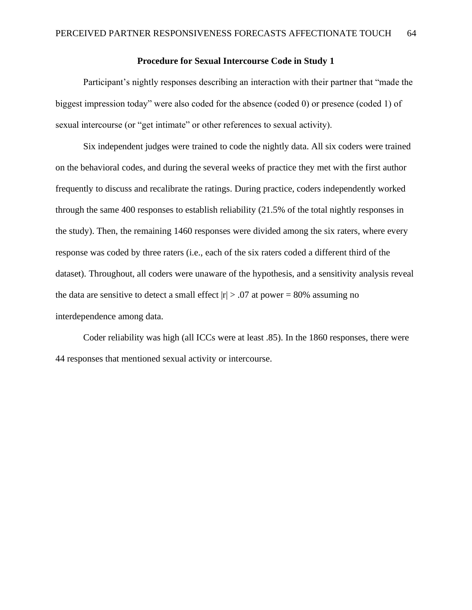### **Procedure for Sexual Intercourse Code in Study 1**

Participant's nightly responses describing an interaction with their partner that "made the biggest impression today" were also coded for the absence (coded 0) or presence (coded 1) of sexual intercourse (or "get intimate" or other references to sexual activity).

Six independent judges were trained to code the nightly data. All six coders were trained on the behavioral codes, and during the several weeks of practice they met with the first author frequently to discuss and recalibrate the ratings. During practice, coders independently worked through the same 400 responses to establish reliability (21.5% of the total nightly responses in the study). Then, the remaining 1460 responses were divided among the six raters, where every response was coded by three raters (i.e., each of the six raters coded a different third of the dataset). Throughout, all coders were unaware of the hypothesis, and a sensitivity analysis reveal the data are sensitive to detect a small effect  $|r| > .07$  at power = 80% assuming no interdependence among data.

Coder reliability was high (all ICCs were at least .85). In the 1860 responses, there were 44 responses that mentioned sexual activity or intercourse.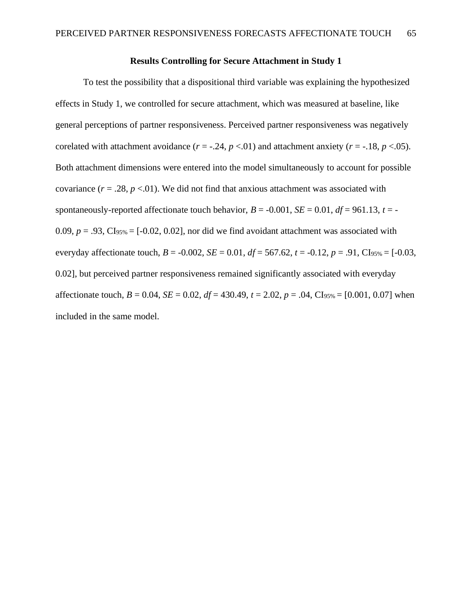### **Results Controlling for Secure Attachment in Study 1**

To test the possibility that a dispositional third variable was explaining the hypothesized effects in Study 1, we controlled for secure attachment, which was measured at baseline, like general perceptions of partner responsiveness. Perceived partner responsiveness was negatively corelated with attachment avoidance  $(r = -.24, p < .01)$  and attachment anxiety  $(r = -.18, p < .05)$ . Both attachment dimensions were entered into the model simultaneously to account for possible covariance  $(r = .28, p < .01)$ . We did not find that anxious attachment was associated with spontaneously-reported affectionate touch behavior,  $B = -0.001$ ,  $SE = 0.01$ ,  $df = 961.13$ ,  $t = -1.001$ 0.09,  $p = .93$ , CI<sub>95%</sub> = [-0.02, 0.02], nor did we find avoidant attachment was associated with everyday affectionate touch,  $B = -0.002$ ,  $SE = 0.01$ ,  $df = 567.62$ ,  $t = -0.12$ ,  $p = .91$ , CI<sub>95%</sub> = [-0.03, 0.02], but perceived partner responsiveness remained significantly associated with everyday affectionate touch,  $B = 0.04$ ,  $SE = 0.02$ ,  $df = 430.49$ ,  $t = 2.02$ ,  $p = .04$ , CI<sub>95%</sub> = [0.001, 0.07] when included in the same model.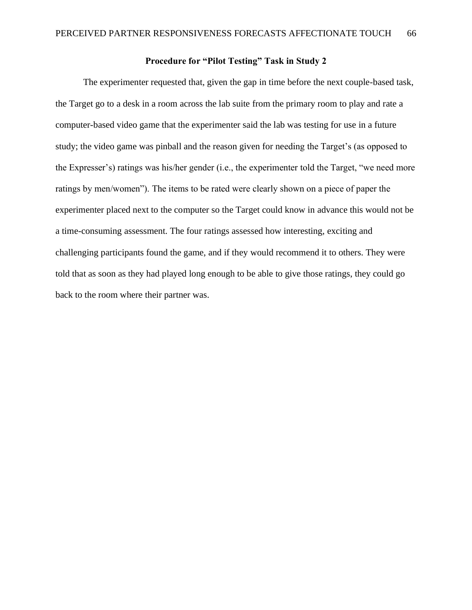# **Procedure for "Pilot Testing" Task in Study 2**

The experimenter requested that, given the gap in time before the next couple-based task, the Target go to a desk in a room across the lab suite from the primary room to play and rate a computer-based video game that the experimenter said the lab was testing for use in a future study; the video game was pinball and the reason given for needing the Target's (as opposed to the Expresser's) ratings was his/her gender (i.e., the experimenter told the Target, "we need more ratings by men/women"). The items to be rated were clearly shown on a piece of paper the experimenter placed next to the computer so the Target could know in advance this would not be a time-consuming assessment. The four ratings assessed how interesting, exciting and challenging participants found the game, and if they would recommend it to others. They were told that as soon as they had played long enough to be able to give those ratings, they could go back to the room where their partner was.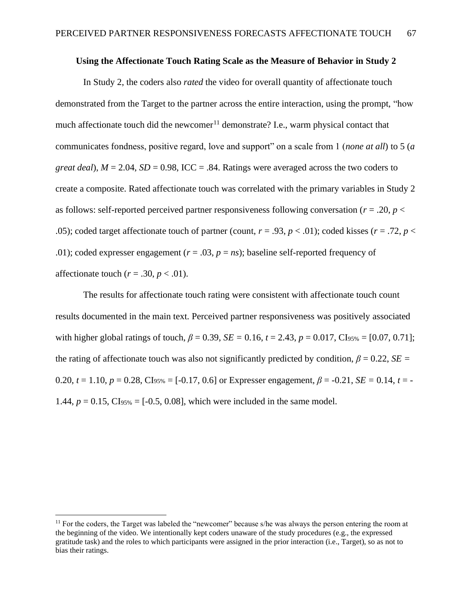# **Using the Affectionate Touch Rating Scale as the Measure of Behavior in Study 2**

In Study 2, the coders also *rated* the video for overall quantity of affectionate touch demonstrated from the Target to the partner across the entire interaction, using the prompt, "how much affectionate touch did the newcomer $11$  demonstrate? I.e., warm physical contact that communicates fondness, positive regard, love and support" on a scale from 1 (*none at all*) to 5 (*a great deal*),  $M = 2.04$ ,  $SD = 0.98$ , ICC = .84. Ratings were averaged across the two coders to create a composite. Rated affectionate touch was correlated with the primary variables in Study 2 as follows: self-reported perceived partner responsiveness following conversation (*r* = .20, *p* < .05); coded target affectionate touch of partner (count,  $r = .93$ ,  $p < .01$ ); coded kisses ( $r = .72$ ,  $p < .05$ ); coded kisses ( $r = .72$ ,  $p < .05$ ) .01); coded expresser engagement  $(r = .03, p = ns)$ ; baseline self-reported frequency of affectionate touch  $(r = .30, p < .01)$ .

The results for affectionate touch rating were consistent with affectionate touch count results documented in the main text. Perceived partner responsiveness was positively associated with higher global ratings of touch,  $\beta = 0.39$ ,  $SE = 0.16$ ,  $t = 2.43$ ,  $p = 0.017$ , CI<sub>95%</sub> = [0.07, 0.71]; the rating of affectionate touch was also not significantly predicted by condition,  $\beta = 0.22$ , *SE* = 0.20,  $t = 1.10$ ,  $p = 0.28$ , CI<sub>95%</sub> = [-0.17, 0.6] or Expresser engagement,  $\beta = -0.21$ ,  $SE = 0.14$ ,  $t = -1.10$ ,  $p = 0.28$ , CI<sub>95%</sub> = [-0.17, 0.6] or Expresser engagement,  $\beta = -0.21$ ,  $SE = 0.14$ ,  $t = -0.21$ 1.44,  $p = 0.15$ , CI<sub>95%</sub> = [-0.5, 0.08], which were included in the same model.

 $11$  For the coders, the Target was labeled the "newcomer" because s/he was always the person entering the room at the beginning of the video. We intentionally kept coders unaware of the study procedures (e.g., the expressed gratitude task) and the roles to which participants were assigned in the prior interaction (i.e., Target), so as not to bias their ratings.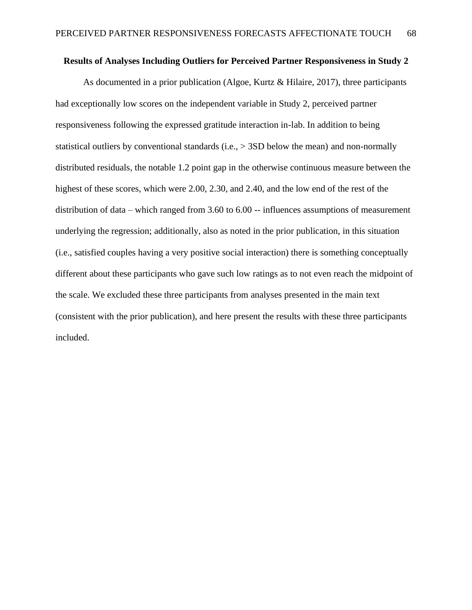### **Results of Analyses Including Outliers for Perceived Partner Responsiveness in Study 2**

As documented in a prior publication (Algoe, Kurtz & Hilaire, 2017), three participants had exceptionally low scores on the independent variable in Study 2, perceived partner responsiveness following the expressed gratitude interaction in-lab. In addition to being statistical outliers by conventional standards (i.e., > 3SD below the mean) and non-normally distributed residuals, the notable 1.2 point gap in the otherwise continuous measure between the highest of these scores, which were 2.00, 2.30, and 2.40, and the low end of the rest of the distribution of data – which ranged from 3.60 to 6.00 -- influences assumptions of measurement underlying the regression; additionally, also as noted in the prior publication, in this situation (i.e., satisfied couples having a very positive social interaction) there is something conceptually different about these participants who gave such low ratings as to not even reach the midpoint of the scale. We excluded these three participants from analyses presented in the main text (consistent with the prior publication), and here present the results with these three participants included.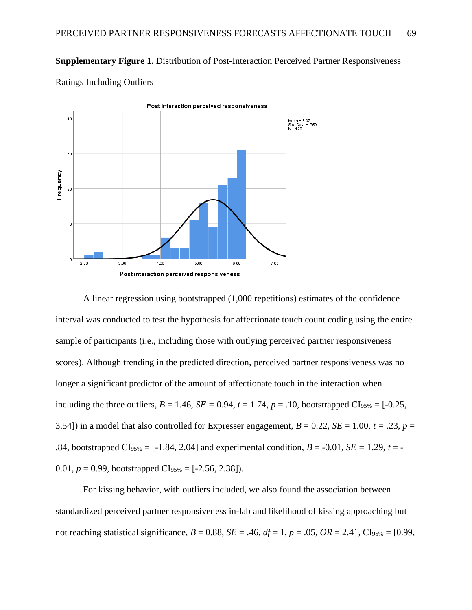**Supplementary Figure 1.** Distribution of Post-Interaction Perceived Partner Responsiveness



Ratings Including Outliers

A linear regression using bootstrapped (1,000 repetitions) estimates of the confidence interval was conducted to test the hypothesis for affectionate touch count coding using the entire sample of participants (i.e., including those with outlying perceived partner responsiveness scores). Although trending in the predicted direction, perceived partner responsiveness was no longer a significant predictor of the amount of affectionate touch in the interaction when including the three outliers,  $B = 1.46$ ,  $SE = 0.94$ ,  $t = 1.74$ ,  $p = .10$ , bootstrapped CI<sub>95%</sub> = [-0.25, 3.54) in a model that also controlled for Expresser engagement,  $B = 0.22$ ,  $SE = 1.00$ ,  $t = .23$ ,  $p =$ .84, bootstrapped CI<sub>95%</sub> = [-1.84, 2.04] and experimental condition,  $B = -0.01$ ,  $SE = 1.29$ ,  $t = -1.29$ 0.01,  $p = 0.99$ , bootstrapped CI<sub>95%</sub> = [-2.56, 2.38]).

For kissing behavior, with outliers included, we also found the association between standardized perceived partner responsiveness in-lab and likelihood of kissing approaching but not reaching statistical significance,  $B = 0.88$ ,  $SE = .46$ ,  $df = 1$ ,  $p = .05$ ,  $OR = 2.41$ ,  $CI_{95\%} = [0.99]$ ,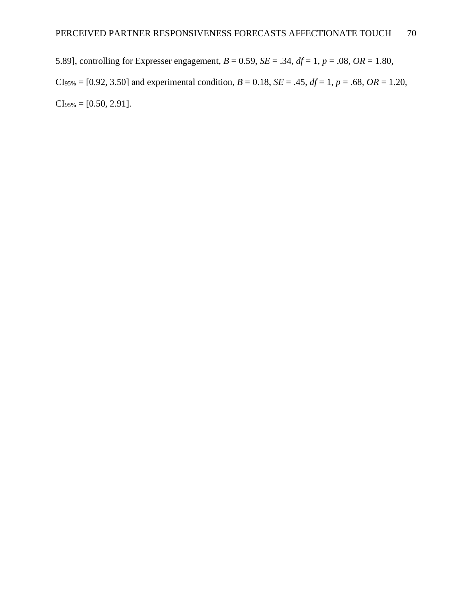5.89], controlling for Expresser engagement, *B* = 0.59, *SE* = .34, *df* = 1, *p* = .08, *OR* = 1.80,  $CI<sub>95%</sub> = [0.92, 3.50]$  and experimental condition,  $B = 0.18$ ,  $SE = .45$ ,  $df = 1$ ,  $p = .68$ ,  $OR = 1.20$ ,  $CI<sub>95%</sub> = [0.50, 2.91].$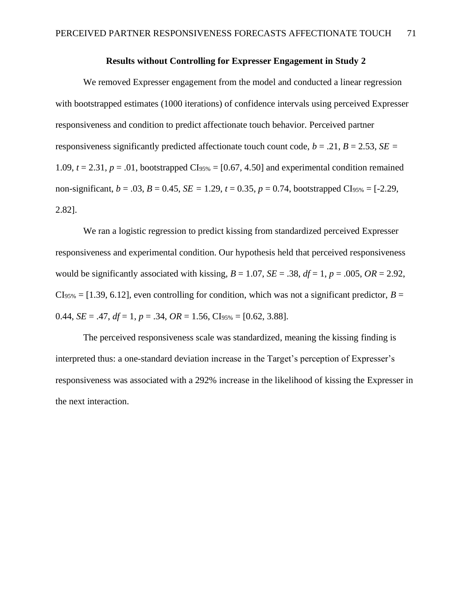## **Results without Controlling for Expresser Engagement in Study 2**

We removed Expresser engagement from the model and conducted a linear regression with bootstrapped estimates (1000 iterations) of confidence intervals using perceived Expresser responsiveness and condition to predict affectionate touch behavior. Perceived partner responsiveness significantly predicted affectionate touch count code,  $b = .21$ ,  $B = 2.53$ ,  $SE =$ 1.09,  $t = 2.31$ ,  $p = .01$ , bootstrapped CI<sub>95%</sub> = [0.67, 4.50] and experimental condition remained non-significant,  $b = .03$ ,  $B = 0.45$ ,  $SE = 1.29$ ,  $t = 0.35$ ,  $p = 0.74$ , bootstrapped CI<sub>95%</sub> = [-2.29, 2.82].

We ran a logistic regression to predict kissing from standardized perceived Expresser responsiveness and experimental condition. Our hypothesis held that perceived responsiveness would be significantly associated with kissing,  $B = 1.07$ ,  $SE = .38$ ,  $df = 1$ ,  $p = .005$ ,  $OR = 2.92$ ,  $C_{.95\%} = [1.39, 6.12]$ , even controlling for condition, which was not a significant predictor, *B* = 0.44, *SE* = .47, *df* = 1, *p* = .34, *OR* = 1.56, CI<sub>95%</sub> = [0.62, 3.88].

The perceived responsiveness scale was standardized, meaning the kissing finding is interpreted thus: a one-standard deviation increase in the Target's perception of Expresser's responsiveness was associated with a 292% increase in the likelihood of kissing the Expresser in the next interaction.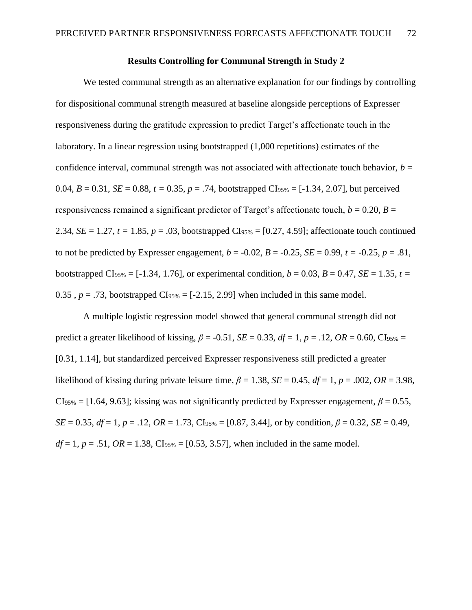## **Results Controlling for Communal Strength in Study 2**

We tested communal strength as an alternative explanation for our findings by controlling for dispositional communal strength measured at baseline alongside perceptions of Expresser responsiveness during the gratitude expression to predict Target's affectionate touch in the laboratory. In a linear regression using bootstrapped (1,000 repetitions) estimates of the confidence interval, communal strength was not associated with affectionate touch behavior,  $b =$ 0.04,  $B = 0.31$ ,  $SE = 0.88$ ,  $t = 0.35$ ,  $p = .74$ , bootstrapped CI<sub>95%</sub> = [-1.34, 2.07], but perceived responsiveness remained a significant predictor of Target's affectionate touch,  $b = 0.20$ ,  $B =$ 2.34, *SE* = 1.27, *t* = 1.85, *p* = .03, bootstrapped CI<sub>95%</sub> = [0.27, 4.59]; affectionate touch continued to not be predicted by Expresser engagement,  $b = -0.02$ ,  $B = -0.25$ ,  $SE = 0.99$ ,  $t = -0.25$ ,  $p = .81$ , bootstrapped CI<sub>95%</sub> = [-1.34, 1.76], or experimental condition,  $b = 0.03$ ,  $B = 0.47$ ,  $SE = 1.35$ ,  $t =$ 0.35,  $p = .73$ , bootstrapped CI<sub>95%</sub> = [-2.15, 2.99] when included in this same model.

A multiple logistic regression model showed that general communal strength did not predict a greater likelihood of kissing,  $\beta$  = -0.51, *SE* = 0.33, *df* = 1, *p* = .12, *OR* = 0.60, CI<sub>95%</sub> = [0.31, 1.14], but standardized perceived Expresser responsiveness still predicted a greater likelihood of kissing during private leisure time,  $\beta = 1.38$ , *SE* = 0.45, *df* = 1, *p* = .002, *OR* = 3.98,  $CI<sub>95%</sub> = [1.64, 9.63]$ ; kissing was not significantly predicted by Expresser engagement,  $\beta = 0.55$ ,  $SE = 0.35$ ,  $df = 1$ ,  $p = .12$ ,  $OR = 1.73$ ,  $CIs_{95\%} = [0.87, 3.44]$ , or by condition,  $\beta = 0.32$ ,  $SE = 0.49$ ,  $df = 1$ ,  $p = .51$ ,  $OR = 1.38$ ,  $CIs_{95\%} = [0.53, 3.57]$ , when included in the same model.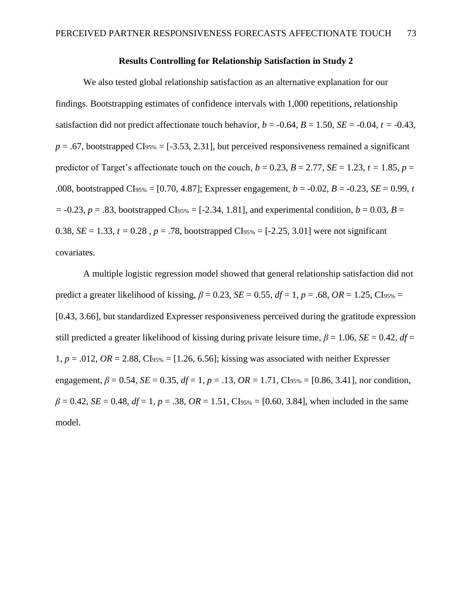### **Results Controlling for Relationship Satisfaction in Study 2**

We also tested global relationship satisfaction as an alternative explanation for our findings. Bootstrapping estimates of confidence intervals with 1,000 repetitions, relationship satisfaction did not predict affectionate touch behavior,  $b = -0.64$ ,  $B = 1.50$ ,  $SE = -0.04$ ,  $t = -0.43$ ,  $p = .67$ , bootstrapped CI<sub>95%</sub> = [-3.53, 2.31], but perceived responsiveness remained a significant predictor of Target's affectionate touch on the couch,  $b = 0.23$ ,  $B = 2.77$ ,  $SE = 1.23$ ,  $t = 1.85$ ,  $p =$ .008, bootstrapped CI<sub>95%</sub> = [0.70, 4.87]; Expresser engagement,  $b = -0.02$ ,  $B = -0.23$ ,  $SE = 0.99$ , *t*  $= -0.23$ ,  $p = .83$ , bootstrapped CI<sub>95%</sub> = [-2.34, 1.81], and experimental condition,  $b = 0.03$ ,  $B =$ 0.38,  $SE = 1.33$ ,  $t = 0.28$ ,  $p = .78$ , bootstrapped CI<sub>95%</sub> = [-2.25, 3.01] were not significant covariates.

A multiple logistic regression model showed that general relationship satisfaction did not predict a greater likelihood of kissing,  $\beta = 0.23$ ,  $SE = 0.55$ ,  $df = 1$ ,  $p = .68$ ,  $OR = 1.25$ , Cl<sub>95%</sub> = [0.43, 3.66], but standardized Expresser responsiveness perceived during the gratitude expression still predicted a greater likelihood of kissing during private leisure time,  $\beta = 1.06$ , *SE* = 0.42, *df* = 1,  $p = .012$ ,  $OR = 2.88$ ,  $CI_{95\%} = [1.26, 6.56]$ ; kissing was associated with neither Expresser engagement,  $\beta = 0.54$ ,  $SE = 0.35$ ,  $df = 1$ ,  $p = .13$ ,  $OR = 1.71$ ,  $CIs_{95\%} = [0.86, 3.41]$ , nor condition,  $\beta = 0.42$ , *SE* = 0.48, *df* = 1, *p* = .38, *OR* = 1.51, CI<sub>95%</sub> = [0.60, 3.84], when included in the same model.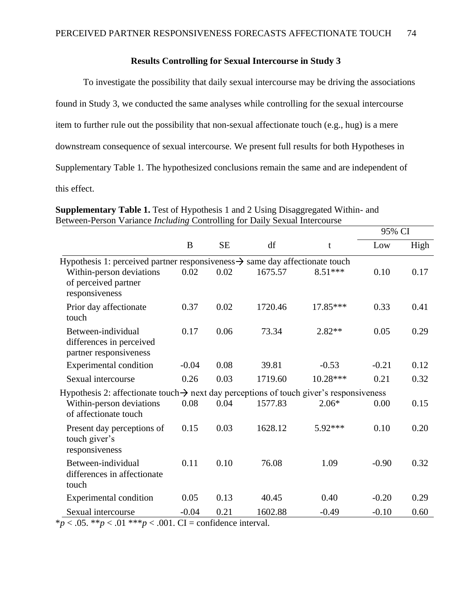## **Results Controlling for Sexual Intercourse in Study 3**

To investigate the possibility that daily sexual intercourse may be driving the associations found in Study 3, we conducted the same analyses while controlling for the sexual intercourse item to further rule out the possibility that non-sexual affectionate touch (e.g., hug) is a mere downstream consequence of sexual intercourse. We present full results for both Hypotheses in Supplementary Table 1. The hypothesized conclusions remain the same and are independent of this effect.

|                                                                                                     |         |           |         |           | 95% CI  |      |
|-----------------------------------------------------------------------------------------------------|---------|-----------|---------|-----------|---------|------|
|                                                                                                     | B       | <b>SE</b> | df      | t         | Low     | High |
| Hypothesis 1: perceived partner responsiveness $\rightarrow$ same day affectionate touch            |         |           |         |           |         |      |
| Within-person deviations<br>of perceived partner<br>responsiveness                                  | 0.02    | 0.02      | 1675.57 | $8.51***$ | 0.10    | 0.17 |
| Prior day affectionate<br>touch                                                                     | 0.37    | 0.02      | 1720.46 | 17.85***  | 0.33    | 0.41 |
| Between-individual<br>differences in perceived                                                      | 0.17    | 0.06      | 73.34   | 2.82**    | 0.05    | 0.29 |
| partner responsiveness                                                                              |         |           |         |           |         |      |
| Experimental condition                                                                              | $-0.04$ | 0.08      | 39.81   | $-0.53$   | $-0.21$ | 0.12 |
| Sexual intercourse                                                                                  | 0.26    | 0.03      | 1719.60 | 10.28***  | 0.21    | 0.32 |
| Hypothesis 2: affectionate touch $\rightarrow$ next day perceptions of touch giver's responsiveness |         |           |         |           |         |      |
| Within-person deviations<br>of affectionate touch                                                   | 0.08    | 0.04      | 1577.83 | $2.06*$   | 0.00    | 0.15 |
| Present day perceptions of<br>touch giver's<br>responsiveness                                       | 0.15    | 0.03      | 1628.12 | 5.92***   | 0.10    | 0.20 |
| Between-individual<br>differences in affectionate<br>touch                                          | 0.11    | 0.10      | 76.08   | 1.09      | $-0.90$ | 0.32 |
| <b>Experimental condition</b>                                                                       | 0.05    | 0.13      | 40.45   | 0.40      | $-0.20$ | 0.29 |
| Sexual intercourse                                                                                  | $-0.04$ | 0.21      | 1602.88 | $-0.49$   | $-0.10$ | 0.60 |

**Supplementary Table 1.** Test of Hypothesis 1 and 2 Using Disaggregated Within- and Between-Person Variance *Including* Controlling for Daily Sexual Intercourse

 $* p < .05.$  \*\* $p < .01$  \*\*\* $p < .001$ . CI = confidence interval.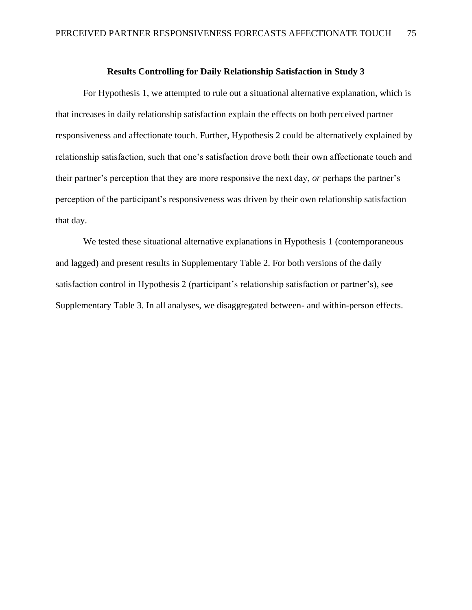#### **Results Controlling for Daily Relationship Satisfaction in Study 3**

For Hypothesis 1, we attempted to rule out a situational alternative explanation, which is that increases in daily relationship satisfaction explain the effects on both perceived partner responsiveness and affectionate touch. Further, Hypothesis 2 could be alternatively explained by relationship satisfaction, such that one's satisfaction drove both their own affectionate touch and their partner's perception that they are more responsive the next day, *or* perhaps the partner's perception of the participant's responsiveness was driven by their own relationship satisfaction that day.

We tested these situational alternative explanations in Hypothesis 1 (contemporaneous and lagged) and present results in Supplementary Table 2. For both versions of the daily satisfaction control in Hypothesis 2 (participant's relationship satisfaction or partner's), see Supplementary Table 3. In all analyses, we disaggregated between- and within-person effects.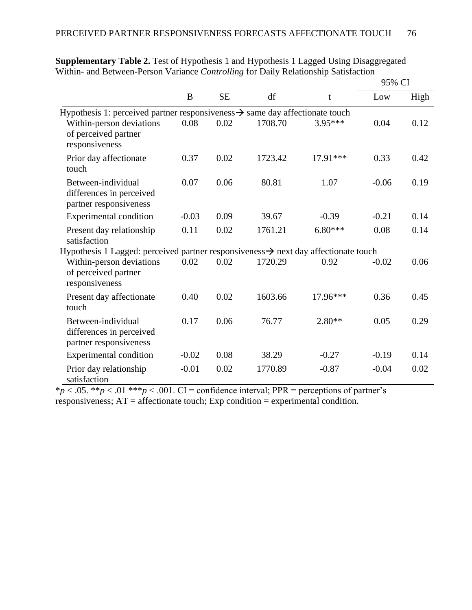|                                                                                                 |         |           |         |           | 95% CI  |      |
|-------------------------------------------------------------------------------------------------|---------|-----------|---------|-----------|---------|------|
|                                                                                                 | B       | <b>SE</b> | df      | t         | Low     | High |
| Hypothesis 1: perceived partner responsiveness $\rightarrow$ same day affectionate touch        |         |           |         |           |         |      |
| Within-person deviations<br>of perceived partner<br>responsiveness                              | 0.08    | 0.02      | 1708.70 | 3.95***   | 0.04    | 0.12 |
| Prior day affectionate<br>touch                                                                 | 0.37    | 0.02      | 1723.42 | 17.91***  | 0.33    | 0.42 |
| Between-individual<br>differences in perceived<br>partner responsiveness                        | 0.07    | 0.06      | 80.81   | 1.07      | $-0.06$ | 0.19 |
| <b>Experimental condition</b>                                                                   | $-0.03$ | 0.09      | 39.67   | $-0.39$   | $-0.21$ | 0.14 |
| Present day relationship<br>satisfaction                                                        | 0.11    | 0.02      | 1761.21 | $6.80***$ | 0.08    | 0.14 |
| Hypothesis 1 Lagged: perceived partner responsiveness $\rightarrow$ next day affectionate touch |         |           |         |           |         |      |
| Within-person deviations<br>of perceived partner<br>responsiveness                              | 0.02    | 0.02      | 1720.29 | 0.92      | $-0.02$ | 0.06 |
| Present day affectionate<br>touch                                                               | 0.40    | 0.02      | 1603.66 | 17.96***  | 0.36    | 0.45 |
| Between-individual<br>differences in perceived<br>partner responsiveness                        | 0.17    | 0.06      | 76.77   | $2.80**$  | 0.05    | 0.29 |
| <b>Experimental condition</b>                                                                   | $-0.02$ | 0.08      | 38.29   | $-0.27$   | $-0.19$ | 0.14 |
| Prior day relationship<br>satisfaction                                                          | $-0.01$ | 0.02      | 1770.89 | $-0.87$   | $-0.04$ | 0.02 |

**Supplementary Table 2.** Test of Hypothesis 1 and Hypothesis 1 Lagged Using Disaggregated Within- and Between-Person Variance *Controlling* for Daily Relationship Satisfaction

 $*\overline{p}$  < .05. \*\* $p$  < .01 \*\*\* $p$  < .001. CI = confidence interval; PPR = perceptions of partner's

responsiveness; AT = affectionate touch; Exp condition = experimental condition.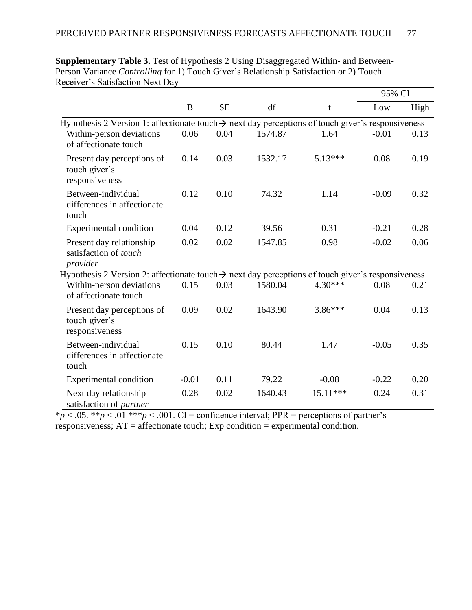|                                                                                                               |         |           |         |           | 95% CI  |      |
|---------------------------------------------------------------------------------------------------------------|---------|-----------|---------|-----------|---------|------|
|                                                                                                               | B       | <b>SE</b> | df      | t         | Low     | High |
| Hypothesis 2 Version 1: affectionate touch $\rightarrow$ next day perceptions of touch giver's responsiveness |         |           |         |           |         |      |
| Within-person deviations<br>of affectionate touch                                                             | 0.06    | 0.04      | 1574.87 | 1.64      | $-0.01$ | 0.13 |
| Present day perceptions of<br>touch giver's<br>responsiveness                                                 | 0.14    | 0.03      | 1532.17 | 5.13***   | 0.08    | 0.19 |
| Between-individual<br>differences in affectionate<br>touch                                                    | 0.12    | 0.10      | 74.32   | 1.14      | $-0.09$ | 0.32 |
| <b>Experimental condition</b>                                                                                 | 0.04    | 0.12      | 39.56   | 0.31      | $-0.21$ | 0.28 |
| Present day relationship<br>satisfaction of touch<br>provider                                                 | 0.02    | 0.02      | 1547.85 | 0.98      | $-0.02$ | 0.06 |
| Hypothesis 2 Version 2: affectionate touch $\rightarrow$ next day perceptions of touch giver's responsiveness |         |           |         |           |         |      |
| Within-person deviations<br>of affectionate touch                                                             | 0.15    | 0.03      | 1580.04 | $4.30***$ | 0.08    | 0.21 |
| Present day perceptions of<br>touch giver's<br>responsiveness                                                 | 0.09    | 0.02      | 1643.90 | 3.86***   | 0.04    | 0.13 |
| Between-individual<br>differences in affectionate<br>touch                                                    | 0.15    | 0.10      | 80.44   | 1.47      | $-0.05$ | 0.35 |
| <b>Experimental condition</b>                                                                                 | $-0.01$ | 0.11      | 79.22   | $-0.08$   | $-0.22$ | 0.20 |
| Next day relationship<br>satisfaction of partner                                                              | 0.28    | 0.02      | 1640.43 | 15.11***  | 0.24    | 0.31 |

**Supplementary Table 3.** Test of Hypothesis 2 Using Disaggregated Within- and Between-Person Variance *Controlling* for 1) Touch Giver's Relationship Satisfaction or 2) Touch Receiver's Satisfaction Next Day

 $*\overline{p}$  < .05. \*\* $p$  < .01 \*\*\* $p$  < .001. CI = confidence interval; PPR = perceptions of partner's responsiveness;  $AT =$  affectionate touch; Exp condition = experimental condition.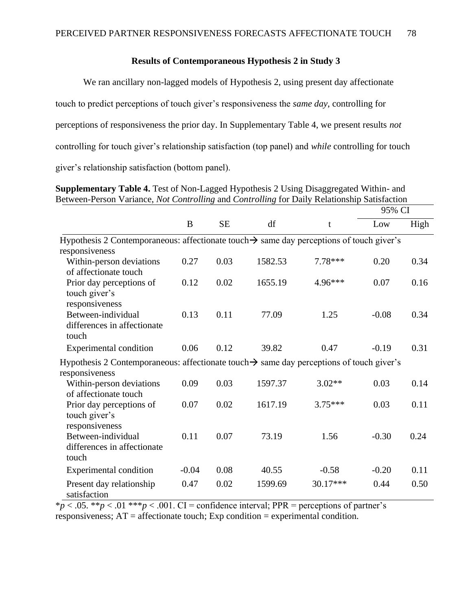## **Results of Contemporaneous Hypothesis 2 in Study 3**

We ran ancillary non-lagged models of Hypothesis 2, using present day affectionate touch to predict perceptions of touch giver's responsiveness the *same day*, controlling for perceptions of responsiveness the prior day. In Supplementary Table 4, we present results *not* controlling for touch giver's relationship satisfaction (top panel) and *while* controlling for touch giver's relationship satisfaction (bottom panel).

| Between-Person Variance, Not Controlling and Controlling for Daily Relationship Satisfaction         |         |           |         |           |         |      |
|------------------------------------------------------------------------------------------------------|---------|-----------|---------|-----------|---------|------|
|                                                                                                      |         |           |         |           | 95% CI  |      |
|                                                                                                      | B       | <b>SE</b> | df      | t         | Low     | High |
| Hypothesis 2 Contemporaneous: affectionate touch $\rightarrow$ same day perceptions of touch giver's |         |           |         |           |         |      |
| responsiveness                                                                                       |         |           |         |           |         |      |
| Within-person deviations                                                                             | 0.27    | 0.03      | 1582.53 | 7.78***   | 0.20    | 0.34 |
| of affectionate touch                                                                                |         |           |         |           |         |      |
| Prior day perceptions of                                                                             | 0.12    | 0.02      | 1655.19 | 4.96***   | 0.07    | 0.16 |
| touch giver's                                                                                        |         |           |         |           |         |      |
| responsiveness                                                                                       |         |           |         |           |         |      |
| Between-individual                                                                                   | 0.13    | 0.11      | 77.09   | 1.25      | $-0.08$ | 0.34 |
| differences in affectionate                                                                          |         |           |         |           |         |      |
| touch                                                                                                |         |           |         |           |         |      |
| <b>Experimental condition</b>                                                                        | 0.06    | 0.12      | 39.82   | 0.47      | $-0.19$ | 0.31 |
| Hypothesis 2 Contemporaneous: affectionate touch $\rightarrow$ same day perceptions of touch giver's |         |           |         |           |         |      |
| responsiveness                                                                                       |         |           |         |           |         |      |
| Within-person deviations                                                                             | 0.09    | 0.03      | 1597.37 | $3.02**$  | 0.03    | 0.14 |
| of affectionate touch                                                                                |         |           |         |           |         |      |
| Prior day perceptions of                                                                             | 0.07    | 0.02      | 1617.19 | $3.75***$ | 0.03    | 0.11 |
| touch giver's                                                                                        |         |           |         |           |         |      |
| responsiveness                                                                                       |         |           |         |           |         |      |
| Between-individual                                                                                   | 0.11    | 0.07      | 73.19   | 1.56      | $-0.30$ | 0.24 |
| differences in affectionate                                                                          |         |           |         |           |         |      |
| touch                                                                                                |         |           |         |           |         |      |
| <b>Experimental condition</b>                                                                        | $-0.04$ | 0.08      | 40.55   | $-0.58$   | $-0.20$ | 0.11 |
| Present day relationship                                                                             | 0.47    | 0.02      | 1599.69 | 30.17***  | 0.44    | 0.50 |
| satisfaction                                                                                         |         |           |         |           |         |      |

**Supplementary Table 4.** Test of Non-Lagged Hypothesis 2 Using Disaggregated Within- and Between-Person Variance, *Not Controlling* and *Controlling* for Daily Relationship Satisfaction

 $*\overline{p}$  < .05. \*\* $p$  < .01 \*\*\* $p$  < .001. CI = confidence interval; PPR = perceptions of partner's

responsiveness;  $AT =$  affectionate touch; Exp condition = experimental condition.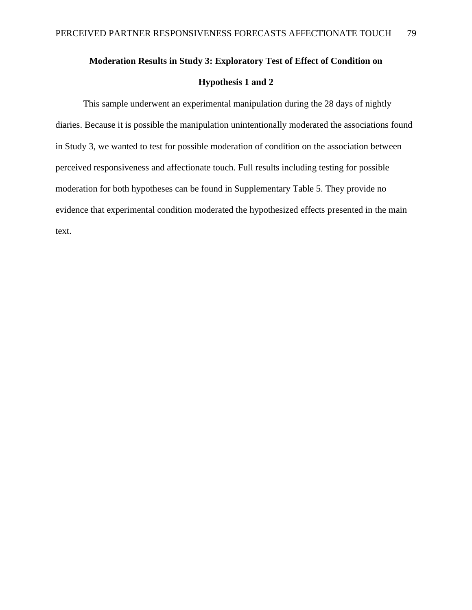# **Moderation Results in Study 3: Exploratory Test of Effect of Condition on Hypothesis 1 and 2**

This sample underwent an experimental manipulation during the 28 days of nightly diaries. Because it is possible the manipulation unintentionally moderated the associations found in Study 3, we wanted to test for possible moderation of condition on the association between perceived responsiveness and affectionate touch. Full results including testing for possible moderation for both hypotheses can be found in Supplementary Table 5. They provide no evidence that experimental condition moderated the hypothesized effects presented in the main text.